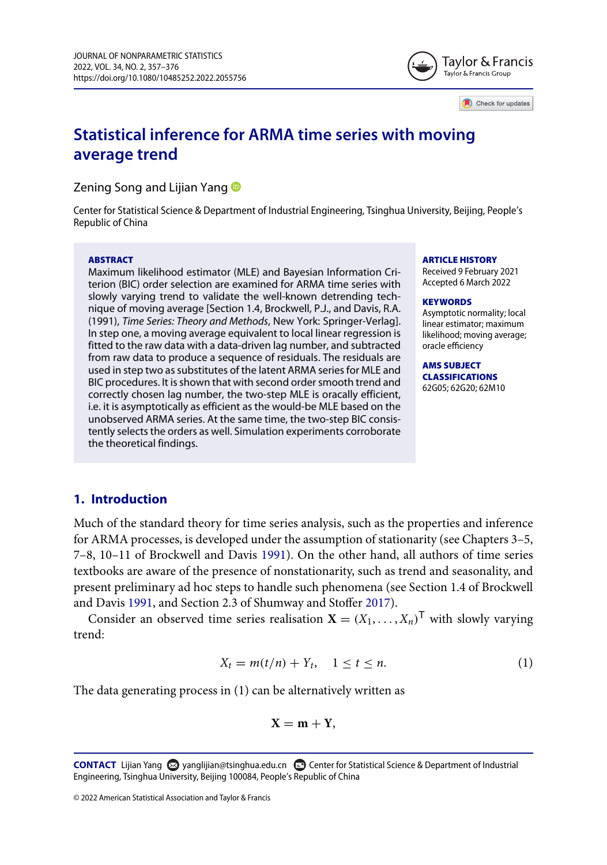

Check for updates

# **Statistical inference for ARMA time series with moving average trend**

Zening Song and Lijian Yang **D** 

Center for Statistical Science & Department of Industrial Engineering, Tsinghua University, Beijing, People's Republic of China

#### **ABSTRACT**

Maximum likelihood estimator (MLE) and Bayesian Information Criterion (BIC) order selection are examined for ARMA time series with slowly varying trend to validate the well-known detrending technique of moving average [Section 1.4, Brockwell, P.J., and Davis, R.A. (1991), *Time Series: Theory and Methods*, New York: Springer-Verlag]. In step one, a moving average equivalent to local linear regression is fitted to the raw data with a data-driven lag number, and subtracted from raw data to produce a sequence of residuals. The residuals are used in step two as substitutes of the latent ARMA series for MLE and BIC procedures. It is shown that with second order smooth trend and correctly chosen lag number, the two-step MLE is oracally efficient, i.e. it is asymptotically as efficient as the would-be MLE based on the unobserved ARMA series. At the same time, the two-step BIC consistently selects the orders as well. Simulation experiments corroborate the theoretical findings.

#### **ARTICLE HISTORY**

Received 9 February 2021 Accepted 6 March 2022

#### **KEYWORDS**

Asymptotic normality; local linear estimator; maximum likelihood; moving average; oracle efficiency

**AMS SUBJECT CLASSIFICATIONS** 62G05; 62G20; 62M10

# **1. Introduction**

Much of the standard theory for time series analysis, such as the properties and inference for ARMA processes, is developed under the assumption of stationarity (see Chapters 3–5, 7–8, 10–11 of Brockwell and Davis [1991\)](#page-10-0). On the other hand, all authors of time series textbooks are aware of the presence of nonstationarity, such as trend and seasonality, and present preliminary ad hoc steps to handle such phenomena (see Section 1.4 of Brockwell and Davis [1991,](#page-10-0) and Section 2.3 of Shumway and Stoffer [2017\)](#page-10-1).

Consider an observed time series realisation  $X = (X_1, \ldots, X_n)^\mathsf{T}$  with slowly varying trend:

<span id="page-0-0"></span>
$$
X_t = m(t/n) + Y_t, \quad 1 \le t \le n. \tag{1}
$$

The data generating process in (1) can be alternatively written as

<span id="page-0-1"></span>
$$
X=m+Y,
$$

© 2022 American Statistical Association and Taylor & Francis

**CONTACT** Lijian Yang @ [yanglijian@tsinghua.edu.cn](mailto:yanglijian@tsinghua.edu.cn) @ Center for Statistical Science & Department of Industrial Engineering, Tsinghua University, Beijing 100084, People's Republic of China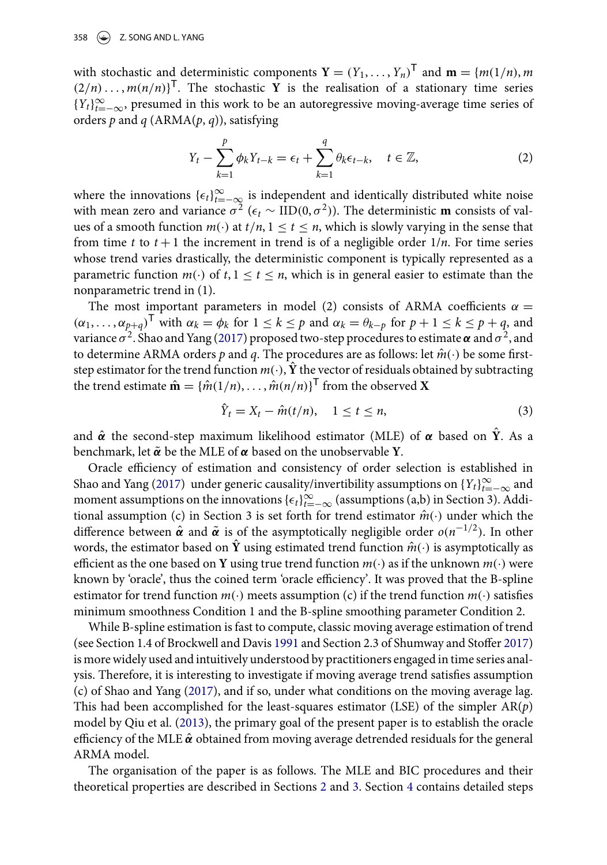with stochastic and deterministic components  $\mathbf{Y} = (Y_1, \dots, Y_n)^\mathsf{T}$  and  $\mathbf{m} = \{m(1/n), m\}$  $(2/n) \ldots$ ,  $m(n/n)$ <sup>T</sup>. The stochastic **Y** is the realisation of a stationary time series  ${Y_t}_{t=-\infty}^{\infty}$ , presumed in this work to be an autoregressive moving-average time series of orders *p* and *q* (ARMA(*p*, *q*)), satisfying

$$
Y_t - \sum_{k=1}^p \phi_k Y_{t-k} = \epsilon_t + \sum_{k=1}^q \theta_k \epsilon_{t-k}, \quad t \in \mathbb{Z},
$$
 (2)

where the innovations  $\{\epsilon_t\}_{t=-\infty}^{\infty}$  is independent and identically distributed white noise with mean zero and variance  $\sigma^2$  ( $\epsilon_t \sim \text{IID}(0, \sigma^2)$ ). The deterministic **m** consists of values of a smooth function  $m(\cdot)$  at  $t/n$ ,  $1 \le t \le n$ , which is slowly varying in the sense that from time  $t$  to  $t + 1$  the increment in trend is of a negligible order  $1/n$ . For time series whose trend varies drastically, the deterministic component is typically represented as a parametric function  $m(\cdot)$  of  $t, 1 \le t \le n$ , which is in general easier to estimate than the nonparametric trend in (1).

The most important parameters in model (2) consists of ARMA coefficients  $\alpha =$  $(\alpha_1, \ldots, \alpha_{p+q})^{\mathsf{T}}$  with  $\alpha_k = \phi_k$  for  $1 \leq k \leq p$  and  $\alpha_k = \theta_{k-p}$  for  $p+1 \leq k \leq p+q$ , and variance  $\sigma^2$ . Shao and Yang [\(2017\)](#page-10-2) proposed two-step procedures to estimate  $\alpha$  and  $\sigma^2$ , and to determine ARMA orders *p* and *q*. The procedures are as follows: let  $\hat{m}(\cdot)$  be some firststep estimator for the trend function  $m(\cdot)$ ,  $\hat{Y}$  the vector of residuals obtained by subtracting the trend estimate  $\hat{\mathbf{m}} = {\hat{m}(1/n), \dots, \hat{m}(n/n)}^T$  from the observed **X** 

<span id="page-1-1"></span>
$$
\hat{Y}_t = X_t - \hat{m}(t/n), \quad 1 \le t \le n,
$$
\n(3)

and *α*ˆ the second-step maximum likelihood estimator (MLE) of *α* based on **Y**ˆ. As a benchmark, let *α*˜ be the MLE of *α* based on the unobservable **Y**.

Oracle efficiency of estimation and consistency of order selection is established in Shao and Yang [\(2017\)](#page-10-2) under generic causality/invertibility assumptions on  $\{Y_t\}_{t=-\infty}^{\infty}$  and moment assumptions on the innovations  $\{\epsilon_t\}_{t=-\infty}^{\infty}$  (assumptions (a,b) in Section 3). Additional assumption (c) in Section 3 is set forth for trend estimator  $\hat{m}(\cdot)$  under which the difference between  $\hat{\alpha}$  and  $\tilde{\alpha}$  is of the asymptotically negligible order  $o(n^{-1/2})$ . In other words, the estimator based on  $\hat{Y}$  using estimated trend function  $\hat{m}(\cdot)$  is asymptotically as efficient as the one based on **Y** using true trend function *m*(·) as if the unknown *m*(·) were known by 'oracle', thus the coined term 'oracle efficiency'. It was proved that the B-spline estimator for trend function  $m(\cdot)$  meets assumption (c) if the trend function  $m(\cdot)$  satisfies minimum smoothness Condition 1 and the B-spline smoothing parameter Condition 2.

While B-spline estimation is fast to compute, classic moving average estimation of trend (see Section 1.4 of Brockwell and Davis [1991](#page-10-0) and Section 2.3 of Shumway and Stoffer [2017\)](#page-10-1) is more widely used and intuitively understood by practitioners engaged in time series analysis. Therefore, it is interesting to investigate if moving average trend satisfies assumption (c) of Shao and Yang [\(2017\)](#page-10-2), and if so, under what conditions on the moving average lag. This had been accomplished for the least-squares estimator (LSE) of the simpler AR(*p*) model by Qiu et al. [\(2013\)](#page-10-3), the primary goal of the present paper is to establish the oracle efficiency of the MLE  $\hat{\alpha}$  obtained from moving average detrended residuals for the general ARMA model.

<span id="page-1-0"></span>The organisation of the paper is as follows. The MLE and BIC procedures and their theoretical properties are described in Sections [2](#page-2-0) and [3.](#page-4-0) Section [4](#page-6-0) contains detailed steps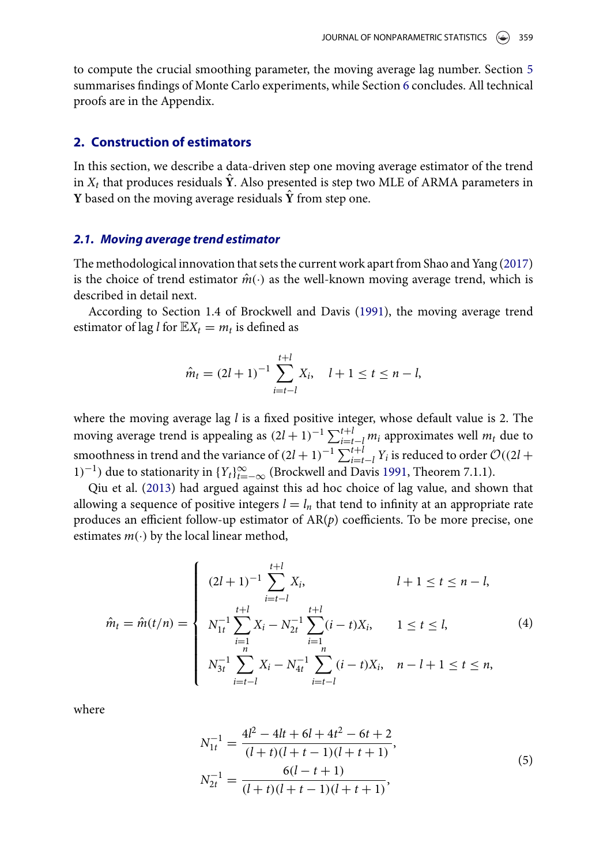to compute the crucial smoothing parameter, the moving average lag number. Section [5](#page-7-0) summarises findings of Monte Carlo experiments, while Section [6](#page-9-0) concludes. All technical proofs are in the Appendix.

#### <span id="page-2-0"></span>**2. Construction of estimators**

In this section, we describe a data-driven step one moving average estimator of the trend in  $X_t$  that produces residuals  $\hat{Y}$ . Also presented is step two MLE of ARMA parameters in **Y** based on the moving average residuals **Y**ˆ from step one.

#### *2.1. Moving average trend estimator*

The methodological innovation that sets the current work apart from Shao and Yang [\(2017\)](#page-10-2) is the choice of trend estimator  $\hat{m}(\cdot)$  as the well-known moving average trend, which is described in detail next.

According to Section 1.4 of Brockwell and Davis [\(1991\)](#page-10-0), the moving average trend estimator of lag *l* for  $\mathbb{E}X_t = m_t$  is defined as

$$
\hat{m}_t = (2l+1)^{-1} \sum_{i=t-l}^{t+l} X_i, \quad l+1 \le t \le n-l,
$$

where the moving average lag *l* is a fixed positive integer, whose default value is 2. The moving average trend is appealing as  $(2l + 1)^{-1} \sum_{i=t-l}^{t+l} m_i$  approximates well  $m_t$  due to smoothness in trend and the variance of  $(2l + 1)^{-1} \sum_{i=t-l}^{t+l} Y_i$  is reduced to order  $\mathcal{O}((2l +$ 1)<sup>-1</sup>) due to stationarity in  ${Y_t}_{t=-\infty}^{\infty}$  (Brockwell and Davis [1991,](#page-10-0) Theorem 7.1.1).

Qiu et al. [\(2013\)](#page-10-3) had argued against this ad hoc choice of lag value, and shown that allowing a sequence of positive integers  $l = l_n$  that tend to infinity at an appropriate rate produces an efficient follow-up estimator of AR(*p*) coefficients. To be more precise, one estimates  $m(\cdot)$  by the local linear method,

$$
\hat{m}_t = \hat{m}(t/n) = \begin{cases}\n(2l+1)^{-1} \sum_{i=t-l}^{t+l} X_i, & l+1 \le t \le n-l, \\
N_{1t}^{-1} \sum_{\substack{i=1 \ n \ n}}^{t+l} X_i - N_{2t}^{-1} \sum_{\substack{i=1 \ n \ n}}^{t+l} (i-t)X_i, & 1 \le t \le l,\n\end{cases}
$$
\n
$$
(4)
$$
\n
$$
N_{3t}^{-1} \sum_{i=t-l}^{n} X_i - N_{4t}^{-1} \sum_{i=t-l}^{n} (i-t)X_i, \quad n-l+1 \le t \le n,
$$

where

$$
N_{1t}^{-1} = \frac{4l^2 - 4lt + 6l + 4t^2 - 6t + 2}{(l+t)(l+t-1)(l+t+1)},
$$
  
\n
$$
N_{2t}^{-1} = \frac{6(l-t+1)}{(l+t)(l+t-1)(l+t+1)},
$$
\n(5)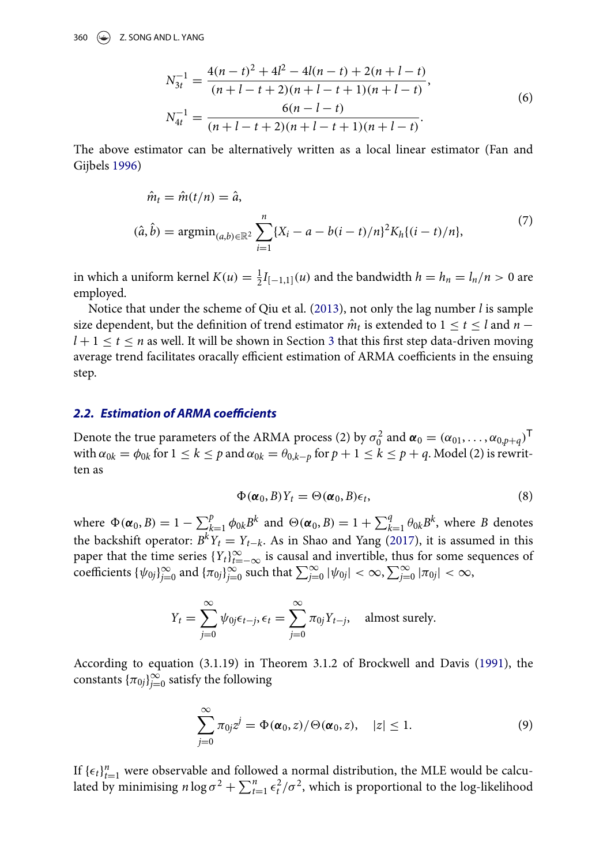$$
N_{3t}^{-1} = \frac{4(n-t)^2 + 4l^2 - 4l(n-t) + 2(n+l-t)}{(n+l-t+2)(n+l-t+1)(n+l-t)},
$$
  
\n
$$
N_{4t}^{-1} = \frac{6(n-l-t)}{(n+l-t+2)(n+l-t+1)(n+l-t)}.
$$
\n(6)

The above estimator can be alternatively written as a local linear estimator (Fan and Gijbels [1996\)](#page-10-4)

<span id="page-3-0"></span>
$$
\hat{m}_t = \hat{m}(t/n) = \hat{a},
$$
\n
$$
(\hat{a}, \hat{b}) = \operatorname{argmin}_{(a,b)\in\mathbb{R}^2} \sum_{i=1}^n \{X_i - a - b(i-t)/n\}^2 K_h \{(i-t)/n\},
$$
\n
$$
(7)
$$

in which a uniform kernel  $K(u) = \frac{1}{2}I_{[-1,1]}(u)$  and the bandwidth  $h = h_n = l_n/n > 0$  are employed.

Notice that under the scheme of Qiu et al. [\(2013\)](#page-10-3), not only the lag number *l* is sample size dependent, but the definition of trend estimator  $\hat{m}_t$  is extended to  $1 \le t \le l$  and  $n$  $l + 1 \le t \le n$  as well. It will be shown in Section [3](#page-4-0) that this first step data-driven moving average trend facilitates oracally efficient estimation of ARMA coefficients in the ensuing step.

#### *2.2. Estimation of ARMA coefficients*

Denote the true parameters of the ARMA process (2) by  $\sigma_0^2$  and  $\alpha_0 = (\alpha_{01}, \dots, \alpha_{0,p+q})^{\mathsf{T}}$ with  $\alpha_{0k} = \phi_{0k}$  for  $1 \leq k \leq p$  and  $\alpha_{0k} = \theta_{0,k-p}$  for  $p+1 \leq k \leq p+q$ . Model (2) is rewritten as

$$
\Phi(\pmb{\alpha}_0, B)Y_t = \Theta(\pmb{\alpha}_0, B)\epsilon_t,\tag{8}
$$

where  $\Phi(\alpha_0, B) = 1 - \sum_{k=1}^p \phi_{0k} B^k$  and  $\Theta(\alpha_0, B) = 1 + \sum_{k=1}^q \theta_{0k} B^k$ , where *B* denotes the backshift operator:  $B^k Y_t = Y_{t-k}$ . As in Shao and Yang [\(2017\)](#page-10-2), it is assumed in this paper that the time series  ${Y_t}_{t=-\infty}^{\infty}$  is causal and invertible, thus for some sequences of coefficients  $\{\psi_{0j}\}_{j=0}^{\infty}$  and  $\{\pi_{0j}\}_{j=0}^{\infty}$  such that  $\sum_{j=0}^{\infty}|\psi_{0j}| < \infty$ ,  $\sum_{j=0}^{\infty}|\pi_{0j}| < \infty$ ,

$$
Y_t = \sum_{j=0}^{\infty} \psi_{0j} \epsilon_{t-j}, \epsilon_t = \sum_{j=0}^{\infty} \pi_{0j} Y_{t-j}, \text{ almost surely.}
$$

According to equation (3.1.19) in Theorem 3.1.2 of Brockwell and Davis [\(1991\)](#page-10-0), the constants  $\{\pi_{0j}\}_{j=0}^{\infty}$  satisfy the following

$$
\sum_{j=0}^{\infty} \pi_{0j} z^j = \Phi(\boldsymbol{\alpha}_0, z) / \Theta(\boldsymbol{\alpha}_0, z), \quad |z| \leq 1.
$$
 (9)

If  ${\{\epsilon_t\}}_{t=1}^n$  were observable and followed a normal distribution, the MLE would be calculated by minimising  $n \log \sigma^2 + \sum_{t=1}^n \epsilon_t^2 / \sigma^2$ , which is proportional to the log-likelihood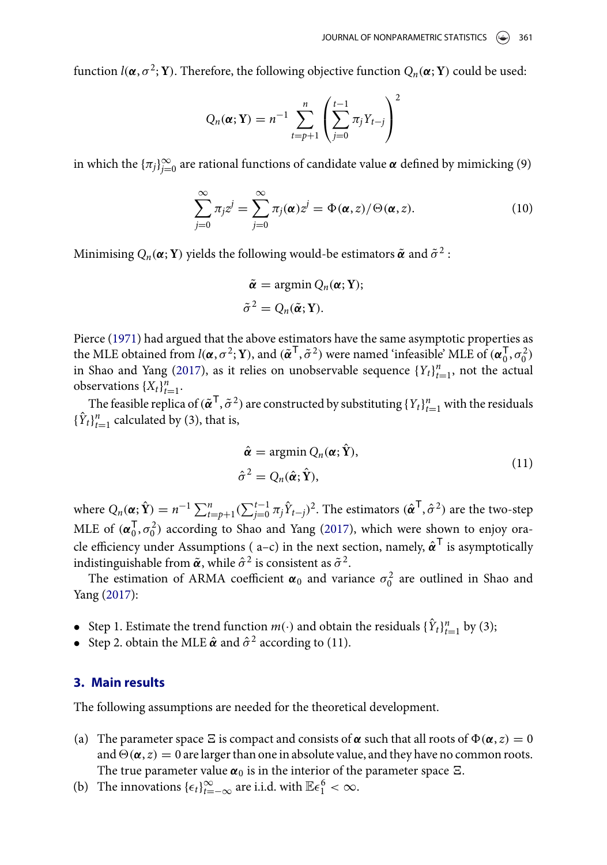function  $l(\boldsymbol{\alpha}, \sigma^2; \mathbf{Y})$ . Therefore, the following objective function  $Q_n(\boldsymbol{\alpha}; \mathbf{Y})$  could be used:

$$
Q_n(\boldsymbol{\alpha}; \mathbf{Y}) = n^{-1} \sum_{t=p+1}^n \left( \sum_{j=0}^{t-1} \pi_j Y_{t-j} \right)^2
$$

in which the  $\{\pi_j\}_{j=0}^{\infty}$  are rational functions of candidate value  $\alpha$  defined by mimicking (9)

$$
\sum_{j=0}^{\infty} \pi_j z^j = \sum_{j=0}^{\infty} \pi_j(\boldsymbol{\alpha}) z^j = \Phi(\boldsymbol{\alpha}, z) / \Theta(\boldsymbol{\alpha}, z).
$$
 (10)

Minimising  $Q_n(\boldsymbol{\alpha}; \mathbf{Y})$  yields the following would-be estimators  $\tilde{\boldsymbol{\alpha}}$  and  $\tilde{\sigma}^2$ :

$$
\tilde{\boldsymbol{\alpha}} = \operatorname{argmin} Q_n(\boldsymbol{\alpha}; \mathbf{Y});
$$
  

$$
\tilde{\sigma}^2 = Q_n(\tilde{\boldsymbol{\alpha}}; \mathbf{Y}).
$$

<span id="page-4-1"></span>Pierce [\(1971\)](#page-10-5) had argued that the above estimators have the same asymptotic properties as the MLE obtained from  $l(\alpha, \sigma^2; Y)$ , and  $(\tilde{\alpha}^T, \tilde{\sigma}^2)$  were named 'infeasible' MLE of  $(\alpha_0^T, \sigma_0^2)$ in Shao and Yang [\(2017\)](#page-10-2), as it relies on unobservable sequence  ${Y_t}_{t=1}^n$ , not the actual observations  $\{X_t\}_{t=1}^n$ .

The feasible replica of  $(\tilde{\pmb{\alpha}}^\mathsf{T},\tilde{\sigma}^2)$  are constructed by substituting  $\{Y_t\}_{t=1}^n$  with the residuals  ${\{\hat{Y}_t\}}_{t=1}^n$  calculated by (3), that is,

$$
\hat{\alpha} = \operatorname{argmin} Q_n(\alpha; \hat{Y}),
$$
  
\n
$$
\hat{\sigma}^2 = Q_n(\hat{\alpha}; \hat{Y}),
$$
\n(11)

where  $Q_n(\boldsymbol{\alpha}; \hat{\mathbf{Y}}) = n^{-1} \sum_{t=p+1}^n (\sum_{j=0}^{t-1} \pi_j \hat{Y}_{t-j})^2$ . The estimators  $(\hat{\boldsymbol{\alpha}}^\mathsf{T}, \hat{\sigma}^2)$  are the two-step MLE of  $(\boldsymbol{\alpha}_0^{\mathsf{T}}, \sigma_0^2)$  according to Shao and Yang [\(2017\)](#page-10-2), which were shown to enjoy oracle efficiency under Assumptions ( $a-c$ ) in the next section, namely,  $\hat{\alpha}^T$  is asymptotically indistinguishable from  $\tilde{\boldsymbol{\alpha}}$ , while  $\hat{\sigma}^2$  is consistent as  $\tilde{\sigma}^2$ .

The estimation of ARMA coefficient  $\alpha_0$  and variance  $\sigma_0^2$  are outlined in Shao and Yang [\(2017\)](#page-10-2):

- Step 1. Estimate the trend function  $m(\cdot)$  and obtain the residuals  $\{\hat{Y}_t\}_{t=1}^n$  by (3);
- Step 2. obtain the MLE  $\hat{\boldsymbol{\alpha}}$  and  $\hat{\sigma}^2$  according to (11).

# <span id="page-4-0"></span>**3. Main results**

The following assumptions are needed for the theoretical development.

- (a) The parameter space  $\Xi$  is compact and consists of  $\alpha$  such that all roots of  $\Phi(\alpha, z) = 0$ and  $\Theta(\alpha, z) = 0$  are larger than one in absolute value, and they have no common roots. The true parameter value  $\alpha_0$  is in the interior of the parameter space  $\Xi$ .
- (b) The innovations  $\{\epsilon_t\}_{t=-\infty}^{\infty}$  are i.i.d. with  $\mathbb{E}\epsilon_1^6 < \infty$ .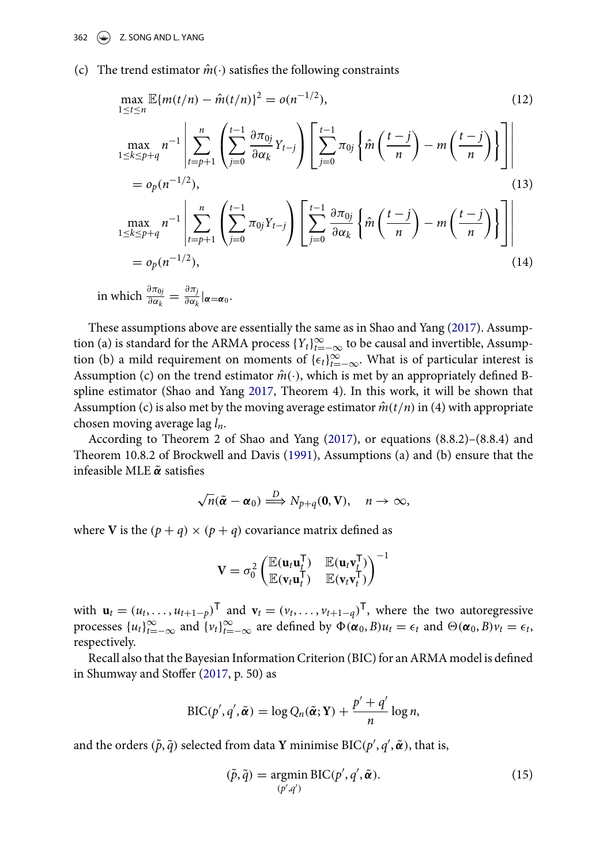(c) The trend estimator  $\hat{m}(\cdot)$  satisfies the following constraints

$$
\max_{1 \le t \le n} \mathbb{E}\{m(t/n) - \hat{m}(t/n)\}^{2} = o(n^{-1/2}),
$$
\n(12)\n
$$
\max_{1 \le k \le p+q} n^{-1} \left| \sum_{t=p+1}^{n} \left( \sum_{j=0}^{t-1} \frac{\partial \pi_{0j}}{\partial \alpha_{k}} Y_{t-j} \right) \left[ \sum_{j=0}^{t-1} \pi_{0j} \left\{ \hat{m} \left( \frac{t-j}{n} \right) - m \left( \frac{t-j}{n} \right) \right\} \right] \right|
$$
\n
$$
= o_{p}(n^{-1/2}),
$$
\n(13)\n
$$
\max_{1 \le k \le p+q} n^{-1} \left| \sum_{t=p+1}^{n} \left( \sum_{j=0}^{t-1} \pi_{0j} Y_{t-j} \right) \left[ \sum_{j=0}^{t-1} \frac{\partial \pi_{0j}}{\partial \alpha_{k}} \left\{ \hat{m} \left( \frac{t-j}{n} \right) - m \left( \frac{t-j}{n} \right) \right\} \right] \right|
$$
\n
$$
= o_{p}(n^{-1/2}),
$$
\n(14)

in which 
$$
\frac{\partial \pi_{0j}}{\partial \alpha_k} = \frac{\partial \pi_j}{\partial \alpha_k} |_{\boldsymbol{\alpha} = \boldsymbol{\alpha}_0}.
$$

These assumptions above are essentially the same as in Shao and Yang [\(2017\)](#page-10-2). Assumption (a) is standard for the ARMA process  ${Y_t}_{t=-\infty}^{\infty}$  to be causal and invertible, Assumption (b) a mild requirement on moments of  $\{\epsilon_t\}_{t=-\infty}^{\infty}$ . What is of particular interest is Assumption (c) on the trend estimator  $\hat{m}(\cdot)$ , which is met by an appropriately defined Bspline estimator (Shao and Yang [2017,](#page-10-2) Theorem 4). In this work, it will be shown that Assumption (c) is also met by the moving average estimator  $\hat{m}(t/n)$  in (4) with appropriate chosen moving average lag *ln*.

According to Theorem 2 of Shao and Yang [\(2017\)](#page-10-2), or equations (8.8.2)–(8.8.4) and Theorem 10.8.2 of Brockwell and Davis [\(1991\)](#page-10-0), Assumptions (a) and (b) ensure that the infeasible MLE *α*˜ satisfies

$$
\sqrt{n}(\tilde{\boldsymbol{\alpha}}-\boldsymbol{\alpha}_0)\stackrel{D}{\Longrightarrow}N_{p+q}(\mathbf{0},\mathbf{V}),\quad n\to\infty,
$$

where **V** is the  $(p+q) \times (p+q)$  covariance matrix defined as

$$
\mathbf{V} = \sigma_0^2 \begin{pmatrix} \mathbb{E}(\mathbf{u}_t \mathbf{u}_t^\mathsf{T}) & \mathbb{E}(\mathbf{u}_t \mathbf{v}_t^\mathsf{T}) \\ \mathbb{E}(\mathbf{v}_t \mathbf{u}_t^\mathsf{T}) & \mathbb{E}(\mathbf{v}_t \mathbf{v}_t^\mathsf{T}) \end{pmatrix}^{-1}
$$

with  $\mathbf{u}_t = (u_t, \dots, u_{t+1-p})^\mathsf{T}$  and  $\mathbf{v}_t = (v_t, \dots, v_{t+1-q})^\mathsf{T}$ , where the two autoregressive processes  $\{u_t\}_{t=-\infty}^{\infty}$  and  $\{v_t\}_{t=-\infty}^{\infty}$  are defined by  $\Phi(\alpha_0, B)u_t = \epsilon_t$  and  $\Theta(\alpha_0, B)v_t = \epsilon_t$ , respectively.

Recall also that the Bayesian Information Criterion (BIC) for an ARMA model is defined in Shumway and Stoffer [\(2017,](#page-10-1) p. 50) as

$$
\text{BIC}(p', q', \tilde{\pmb{\alpha}}) = \log Q_n(\tilde{\pmb{\alpha}}; \mathbf{Y}) + \frac{p' + q'}{n} \log n,
$$

and the orders  $(\tilde{p}, \tilde{q})$  selected from data **Y** minimise BIC( $p'$ ,  $q'$ ,  $\tilde{\boldsymbol{\alpha}}$ ), that is,

$$
(\tilde{p}, \tilde{q}) = \underset{(p', q')}{\text{argmin}} \, \text{BIC}(p', q', \tilde{\pmb{\alpha}}). \tag{15}
$$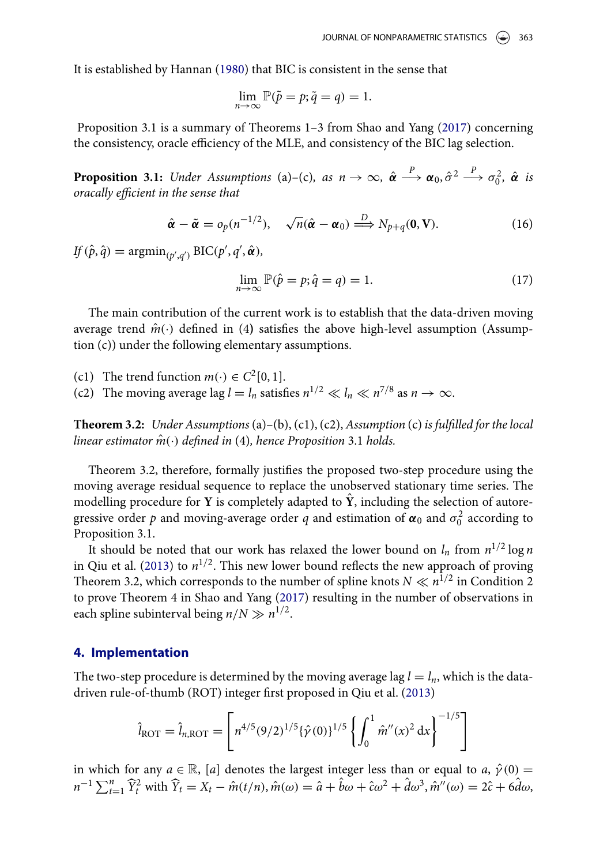It is established by Hannan [\(1980\)](#page-10-6) that BIC is consistent in the sense that

<span id="page-6-1"></span>
$$
\lim_{n \to \infty} \mathbb{P}(\tilde{p} = p; \tilde{q} = q) = 1.
$$

Proposition 3.1 is a summary of Theorems 1–3 from Shao and Yang [\(2017\)](#page-10-2) concerning the consistency, oracle efficiency of the MLE, and consistency of the BIC lag selection.

**Proposition 3.1:** *Under Assumptions* (a)–(c), as  $n \to \infty$ ,  $\hat{\alpha} \xrightarrow{P} \alpha_0, \hat{\sigma}^2 \xrightarrow{P} \sigma_0^2$ ,  $\hat{\alpha}$  *is oracally efficient in the sense that*

$$
\hat{\boldsymbol{\alpha}} - \tilde{\boldsymbol{\alpha}} = o_p(n^{-1/2}), \quad \sqrt{n}(\hat{\boldsymbol{\alpha}} - \boldsymbol{\alpha}_0) \stackrel{D}{\Longrightarrow} N_{p+q}(\mathbf{0}, \mathbf{V}).
$$
\n(16)

 $\text{IF}(\hat{p}, \hat{q}) = \operatorname{argmin}_{(p', q')} \text{BIC}(p', q', \hat{\boldsymbol{\alpha}}),$ 

$$
\lim_{n \to \infty} \mathbb{P}(\hat{p} = p; \hat{q} = q) = 1.
$$
\n(17)

The main contribution of the current work is to establish that the data-driven moving average trend  $\hat{m}(\cdot)$  defined in (4) satisfies the above high-level assumption (Assumption (c)) under the following elementary assumptions.

(c1) The trend function  $m(\cdot) \in C^2[0,1]$ .

(c2) The moving average lag  $l = l_n$  satisfies  $n^{1/2} \ll l_n \ll n^{7/8}$  as  $n \to \infty$ .

**Theorem 3.2:** *Under Assumptions* (a)–(b), (c1), (c2), *Assumption* (c) *is fulfilled for the local linear estimator*  $\hat{m}(\cdot)$  *defined in* (4), *hence Proposition* 3.1 *holds.* 

Theorem 3.2, therefore, formally justifies the proposed two-step procedure using the moving average residual sequence to replace the unobserved stationary time series. The modelling procedure for **Y** is completely adapted to  $\hat{Y}$ , including the selection of autoregressive order  $p$  and moving-average order  $q$  and estimation of  $\pmb{\alpha}_0$  and  $\sigma_0^2$  according to Proposition 3.1.

It should be noted that our work has relaxed the lower bound on  $l_n$  from  $n^{1/2} \log n$ in Qiu et al. [\(2013\)](#page-10-3) to  $n^{1/2}$ . This new lower bound reflects the new approach of proving Theorem 3.2, which corresponds to the number of spline knots  $N \ll n^{1/2}$  in Condition 2 to prove Theorem 4 in Shao and Yang [\(2017\)](#page-10-2) resulting in the number of observations in each spline subinterval being  $n/N \gg n^{1/2}$ .

#### <span id="page-6-0"></span>**4. Implementation**

The two-step procedure is determined by the moving average lag  $l = l_n$ , which is the datadriven rule-of-thumb (ROT) integer first proposed in Qiu et al. [\(2013\)](#page-10-3)

$$
\hat{l}_{\text{ROT}} = \hat{l}_{n,\text{ROT}} = \left[ n^{4/5} (9/2)^{1/5} {\hat{\gamma}(0)}^{1/5} \left\{ \int_0^1 \hat{m}''(x)^2 dx \right\}^{-1/5} \right]
$$

in which for any  $a \in \mathbb{R}$ , [*a*] denotes the largest integer less than or equal to *a*,  $\hat{\gamma}(0)$  =  $n^{-1} \sum_{t=1}^{n} \hat{Y}_{t}^{2}$  with  $\hat{Y}_{t} = X_{t} - \hat{m}(t/n), \hat{m}(\omega) = \hat{a} + \hat{b}\omega + \hat{c}\omega^{2} + \hat{d}\omega^{3}, \hat{m}''(\omega) = 2\hat{c} + 6\hat{d}\omega$ ,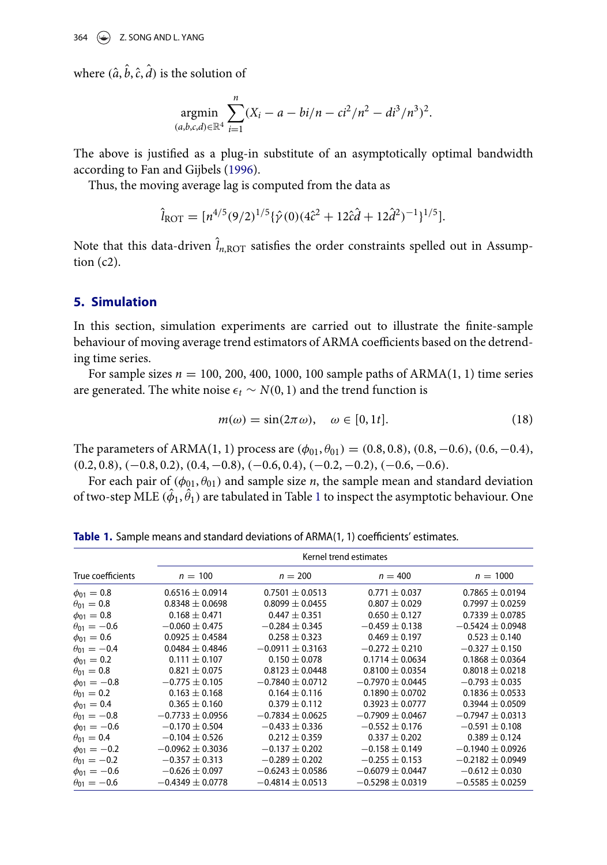where  $(\hat{a}, \hat{b}, \hat{c}, \hat{d})$  is the solution of

$$
\underset{(a,b,c,d)\in\mathbb{R}^4}{\text{argmin}} \sum_{i=1}^n (X_i - a - bi/n - ci^2/n^2 - di^3/n^3)^2.
$$

The above is justified as a plug-in substitute of an asymptotically optimal bandwidth according to Fan and Gijbels [\(1996\)](#page-10-4).

Thus, the moving average lag is computed from the data as

$$
\hat{l}_{\text{ROT}} = [n^{4/5} (9/2)^{1/5} {\hat{\gamma}}(0) (4\hat{c}^2 + 12\hat{c}\hat{d} + 12\hat{d}^2)^{-1} \}^{1/5}].
$$

Note that this data-driven  $\hat{l}_{n,\text{ROT}}$  satisfies the order constraints spelled out in Assumption  $(c2)$ .

#### <span id="page-7-0"></span>**5. Simulation**

In this section, simulation experiments are carried out to illustrate the finite-sample behaviour of moving average trend estimators of ARMA coefficients based on the detrending time series.

For sample sizes  $n = 100, 200, 400, 1000, 100$  sample paths of  $ARMA(1, 1)$  time series are generated. The white noise  $\epsilon_t \sim N(0, 1)$  and the trend function is

$$
m(\omega) = \sin(2\pi \omega), \quad \omega \in [0, 1t]. \tag{18}
$$

The parameters of ARMA(1, 1) process are  $(\phi_{01}, \theta_{01}) = (0.8, 0.8), (0.8, -0.6), (0.6, -0.4),$  $(0.2, 0.8), (-0.8, 0.2), (0.4, -0.8), (-0.6, 0.4), (-0.2, -0.2), (-0.6, -0.6).$ 

For each pair of  $(\phi_{01}, \theta_{01})$  and sample size *n*, the sample mean and standard deviation of two-step  $\mathrm{MLE}\,(\hat{\phi}_1,\hat{\theta}_1)$  $\mathrm{MLE}\,(\hat{\phi}_1,\hat{\theta}_1)$  $\mathrm{MLE}\,(\hat{\phi}_1,\hat{\theta}_1)$  are tabulated in Table 1 to inspect the asymptotic behaviour. One

Table 1. Sample means and standard deviations of ARMA(1, 1) coefficients' estimates.

<span id="page-7-1"></span>

|                      | Kernel trend estimates |                      |                      |                      |  |  |
|----------------------|------------------------|----------------------|----------------------|----------------------|--|--|
| True coefficients    | $n = 100$              | $n = 200$            | $n = 400$            | $n = 1000$           |  |  |
| $\phi_{01} = 0.8$    | $0.6516 \pm 0.0914$    | $0.7501 \pm 0.0513$  | $0.771 \pm 0.037$    | $0.7865 \pm 0.0194$  |  |  |
| $\theta_{01} = 0.8$  | $0.8348 \pm 0.0698$    | $0.8099 + 0.0455$    | $0.807 + 0.029$      | $0.7997 + 0.0259$    |  |  |
| $\phi_{01} = 0.8$    | $0.168 \pm 0.471$      | $0.447 \pm 0.351$    | $0.650 \pm 0.127$    | $0.7339 + 0.0785$    |  |  |
| $\theta_{01} = -0.6$ | $-0.060 \pm 0.475$     | $-0.284 \pm 0.345$   | $-0.459 \pm 0.138$   | $-0.5424 \pm 0.0948$ |  |  |
| $\phi_{01} = 0.6$    | $0.0925 + 0.4584$      | $0.258 + 0.323$      | $0.469 + 0.197$      | $0.523 + 0.140$      |  |  |
| $\theta_{01} = -0.4$ | $0.0484 + 0.4846$      | $-0.0911 \pm 0.3163$ | $-0.272 + 0.210$     | $-0.327 + 0.150$     |  |  |
| $\phi_{01} = 0.2$    | $0.111 \pm 0.107$      | $0.150 \pm 0.078$    | $0.1714 + 0.0634$    | $0.1868 \pm 0.0364$  |  |  |
| $\theta_{01} = 0.8$  | $0.821 \pm 0.075$      | $0.8123 \pm 0.0448$  | $0.8100 \pm 0.0354$  | $0.8018 \pm 0.0218$  |  |  |
| $\phi_{01} = -0.8$   | $-0.775 \pm 0.105$     | $-0.7840 + 0.0712$   | $-0.7970 + 0.0445$   | $-0.793 + 0.035$     |  |  |
| $\theta_{01} = 0.2$  | $0.163 \pm 0.168$      | $0.164 \pm 0.116$    | $0.1890 + 0.0702$    | $0.1836 \pm 0.0533$  |  |  |
| $\phi_{01} = 0.4$    | $0.365 \pm 0.160$      | $0.379 \pm 0.112$    | $0.3923 \pm 0.0777$  | $0.3944 \pm 0.0509$  |  |  |
| $\theta_{01} = -0.8$ | $-0.7733 + 0.0956$     | $-0.7834 + 0.0625$   | $-0.7909 + 0.0467$   | $-0.7947 + 0.0313$   |  |  |
| $\phi_{01} = -0.6$   | $-0.170 + 0.504$       | $-0.433 \pm 0.336$   | $-0.552 \pm 0.176$   | $-0.591 + 0.108$     |  |  |
| $\theta_{01} = 0.4$  | $-0.104 \pm 0.526$     | $0.212 + 0.359$      | $0.337 + 0.202$      | $0.389 + 0.124$      |  |  |
| $\phi_{01} = -0.2$   | $-0.0962 \pm 0.3036$   | $-0.137 \pm 0.202$   | $-0.158 \pm 0.149$   | $-0.1940 \pm 0.0926$ |  |  |
| $\theta_{01} = -0.2$ | $-0.357 \pm 0.313$     | $-0.289 + 0.202$     | $-0.255 + 0.153$     | $-0.2182 + 0.0949$   |  |  |
| $\phi_{01} = -0.6$   | $-0.626 \pm 0.097$     | $-0.6243 \pm 0.0586$ | $-0.6079 \pm 0.0447$ | $-0.612 \pm 0.030$   |  |  |
| $\theta_{01} = -0.6$ | $-0.4349 \pm 0.0778$   | $-0.4814 \pm 0.0513$ | $-0.5298 \pm 0.0319$ | $-0.5585 \pm 0.0259$ |  |  |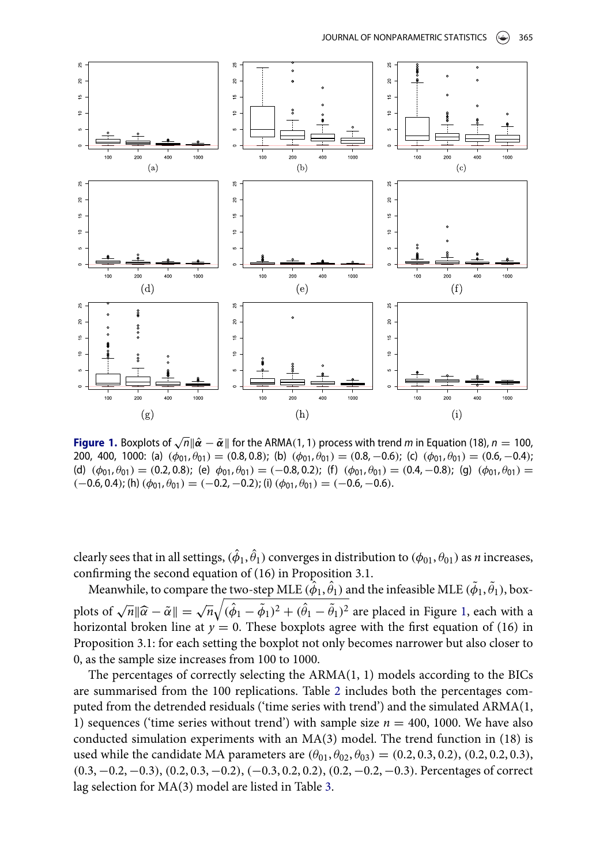

<span id="page-8-0"></span>**Figure 1.** Boxplots of  $\sqrt{n} || \hat{\boldsymbol{\alpha}} - \tilde{\boldsymbol{\alpha}} ||$  for the ARMA(1, 1) process with trend *m* in Equation (18), *n* = 100, 200, 400, 1000: (a)  $(\phi_{01}, \theta_{01}) = (0.8, 0.8)$ ; (b)  $(\phi_{01}, \theta_{01}) = (0.8, -0.6)$ ; (c)  $(\phi_{01}, \theta_{01}) = (0.6, -0.4)$ ; (d)  $(\phi_{01}, \theta_{01}) = (0.2, 0.8)$ ; (e)  $\phi_{01}, \theta_{01} = (-0.8, 0.2)$ ; (f)  $(\phi_{01}, \theta_{01}) = (0.4, -0.8)$ ; (g)  $(\phi_{01}, \theta_{01}) =$  $(-0.6, 0.4)$ ; (h)  $(\phi_{01}, \theta_{01}) = (-0.2, -0.2)$ ; (i)  $(\phi_{01}, \theta_{01}) = (-0.6, -0.6)$ .

clearly sees that in all settings,  $(\hat{\phi}_1,\hat{\theta}_1)$  converges in distribution to  $(\phi_{01},\theta_{01})$  as  $n$  increases, confirming the second equation of (16) in Proposition 3.1.

Meanwhile, to compare the two-step MLE  $(\hat{\phi}_1,\hat{\theta}_1)$  and the infeasible MLE  $(\tilde{\phi}_1,\tilde{\theta}_1)$ , boxplots of  $\sqrt{n} \|\hat{\alpha} - \tilde{\alpha}\| = \sqrt{n} \sqrt{(\hat{\phi}_1 - \tilde{\phi}_1)^2 + (\hat{\theta}_1 - \tilde{\theta}_1)^2}$  are placed in Figure [1,](#page-8-0) each with a horizontal broken line at  $v = 0$ . These boxplots agree with the first equation of (16) in horizontal broken line at  $y = 0$ . These boxplots agree with the first equation of (16) in Proposition 3.1: for each setting the boxplot not only becomes narrower but also closer to 0, as the sample size increases from 100 to 1000.

The percentages of correctly selecting the ARMA(1, 1) models according to the BICs are summarised from the 100 replications. Table [2](#page-9-1) includes both the percentages computed from the detrended residuals ('time series with trend') and the simulated ARMA(1, 1) sequences ('time series without trend') with sample size  $n = 400$ , 1000. We have also conducted simulation experiments with an MA(3) model. The trend function in (18) is used while the candidate MA parameters are  $(\theta_{01}, \theta_{02}, \theta_{03}) = (0.2, 0.3, 0.2), (0.2, 0.2, 0.3),$ (0.3, −0.2, −0.3), (0.2, 0.3, −0.2), (−0.3, 0.2, 0.2), (0.2, −0.2, −0.3). Percentages of correct lag selection for MA(3) model are listed in Table [3.](#page-9-2)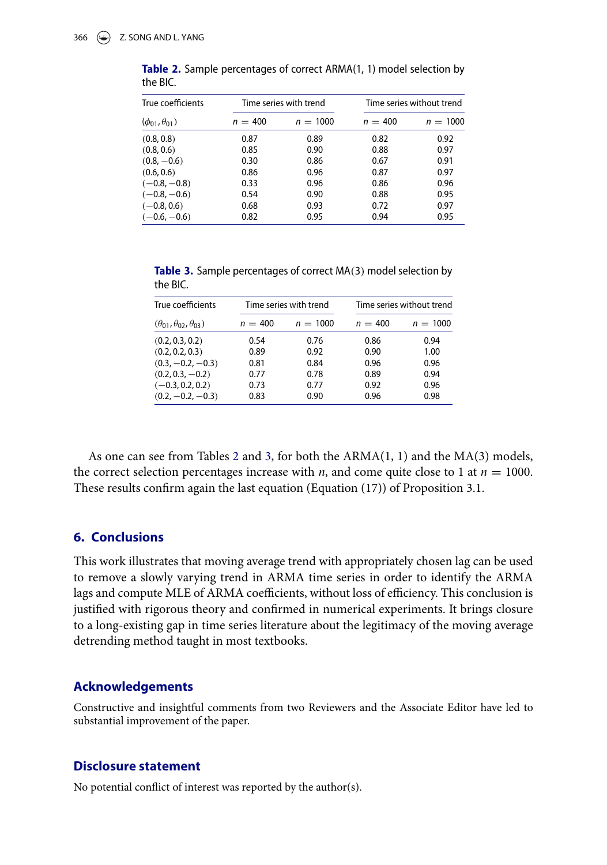| True coefficients          | Time series with trend |            | Time series without trend |            |
|----------------------------|------------------------|------------|---------------------------|------------|
| $(\phi_{01}, \theta_{01})$ | $n = 400$              | $n = 1000$ | $n = 400$                 | $n = 1000$ |
| (0.8, 0.8)                 | 0.87                   | 0.89       | 0.82                      | 0.92       |
| (0.8, 0.6)                 | 0.85                   | 0.90       | 0.88                      | 0.97       |
| $(0.8, -0.6)$              | 0.30                   | 0.86       | 0.67                      | 0.91       |
| (0.6, 0.6)                 | 0.86                   | 0.96       | 0.87                      | 0.97       |
| $(-0.8, -0.8)$             | 0.33                   | 0.96       | 0.86                      | 0.96       |
| $(-0.8,-0.6)$              | 0.54                   | 0.90       | 0.88                      | 0.95       |
| $(-0.8, 0.6)$              | 0.68                   | 0.93       | 0.72                      | 0.97       |
| $(-0.6, -0.6)$             | 0.82                   | 0.95       | 0.94                      | 0.95       |

<span id="page-9-1"></span>**Table 2.** Sample percentages of correct ARMA(1, 1) model selection by the BIC.

<span id="page-9-2"></span>**Table 3.** Sample percentages of correct MA(3) model selection by the BIC.

| True coefficients                         | Time series with trend |            | Time series without trend |            |
|-------------------------------------------|------------------------|------------|---------------------------|------------|
| $(\theta_{01}, \theta_{02}, \theta_{03})$ | $n = 400$              | $n = 1000$ | $n = 400$                 | $n = 1000$ |
| (0.2, 0.3, 0.2)                           | 0.54                   | 0.76       | 0.86                      | 0.94       |
| (0.2, 0.2, 0.3)                           | 0.89                   | 0.92       | 0.90                      | 1.00       |
| $(0.3, -0.2, -0.3)$                       | 0.81                   | 0.84       | 0.96                      | 0.96       |
| $(0.2, 0.3, -0.2)$                        | 0.77                   | 0.78       | 0.89                      | 0.94       |
| $(-0.3, 0.2, 0.2)$                        | 0.73                   | 0.77       | 0.92                      | 0.96       |
| $(0.2, -0.2, -0.3)$                       | 0.83                   | 0.90       | 0.96                      | 0.98       |

As one can see from Tables [2](#page-9-1) and [3,](#page-9-2) for both the  $ARMA(1, 1)$  and the  $MA(3)$  models, the correct selection percentages increase with *n*, and come quite close to 1 at  $n = 1000$ . These results confirm again the last equation (Equation (17)) of Proposition 3.1.

# <span id="page-9-0"></span>**6. Conclusions**

This work illustrates that moving average trend with appropriately chosen lag can be used to remove a slowly varying trend in ARMA time series in order to identify the ARMA lags and compute MLE of ARMA coefficients, without loss of efficiency. This conclusion is justified with rigorous theory and confirmed in numerical experiments. It brings closure to a long-existing gap in time series literature about the legitimacy of the moving average detrending method taught in most textbooks.

### **Acknowledgements**

Constructive and insightful comments from two Reviewers and the Associate Editor have led to substantial improvement of the paper.

#### **Disclosure statement**

No potential conflict of interest was reported by the author(s).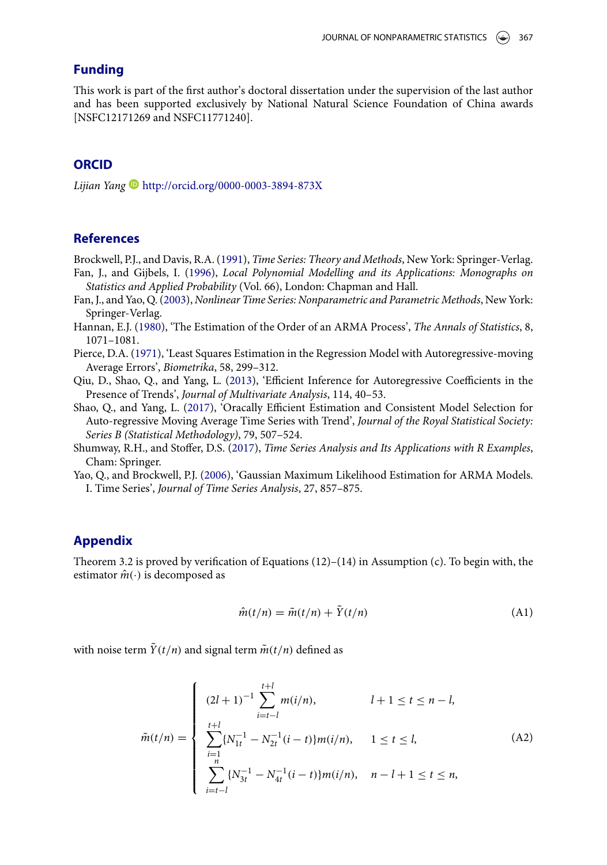# **Funding**

This work is part of the first author's doctoral dissertation under the supervision of the last author and has been supported exclusively by National Natural Science Foundation of China awards [NSFC12171269 and NSFC11771240].

# **ORCID**

*Lijian Yang* <http://orcid.org/0000-0003-3894-873X>

# **References**

<span id="page-10-4"></span><span id="page-10-0"></span>Brockwell, P.J., and Davis, R.A. [\(1991\)](#page-0-0), *Time Series: Theory and Methods*, New York: Springer-Verlag. Fan, J., and Gijbels, I. [\(1996\)](#page-3-0), *Local Polynomial Modelling and its Applications: Monographs on*

- *Statistics and Applied Probability* (Vol. 66), London: Chapman and Hall.
- <span id="page-10-7"></span>Fan, J., and Yao, Q. [\(2003\)](#page-14-0), *Nonlinear Time Series: Nonparametric and Parametric Methods*, New York: Springer-Verlag.
- <span id="page-10-6"></span>Hannan, E.J. [\(1980\)](#page-6-1), 'The Estimation of the Order of an ARMA Process', *The Annals of Statistics*, 8, 1071–1081.
- <span id="page-10-5"></span>Pierce, D.A. [\(1971\)](#page-4-1), 'Least Squares Estimation in the Regression Model with Autoregressive-moving Average Errors', *Biometrika*, 58, 299–312.
- <span id="page-10-3"></span>Qiu, D., Shao, Q., and Yang, L. [\(2013\)](#page-1-0), 'Efficient Inference for Autoregressive Coefficients in the Presence of Trends', *Journal of Multivariate Analysis*, 114, 40–53.
- <span id="page-10-2"></span>Shao, Q., and Yang, L. [\(2017\)](#page-1-1), 'Oracally Efficient Estimation and Consistent Model Selection for Auto-regressive Moving Average Time Series with Trend', *Journal of the Royal Statistical Society: Series B (Statistical Methodology)*, 79, 507–524.
- <span id="page-10-1"></span>Shumway, R.H., and Stoffer, D.S. [\(2017\)](#page-0-1), *Time Series Analysis and Its Applications with R Examples*, Cham: Springer.
- <span id="page-10-8"></span>Yao, O., and Brockwell, P.J. [\(2006\)](#page-15-0), 'Gaussian Maximum Likelihood Estimation for ARMA Models. I. Time Series', *Journal of Time Series Analysis*, 27, 857–875.

# **Appendix**

Theorem 3.2 is proved by verification of Equations  $(12)$ – $(14)$  in Assumption (c). To begin with, the estimator  $\hat{m}(\cdot)$  is decomposed as

$$
\hat{m}(t/n) = \tilde{m}(t/n) + \tilde{Y}(t/n)
$$
\n(A1)

with noise term  $\tilde{Y}(t/n)$  and signal term  $\tilde{m}(t/n)$  defined as

$$
\tilde{m}(t/n) = \begin{cases}\n(2l+1)^{-1} \sum_{i=t-l}^{t+l} m(i/n), & l+1 \le t \le n-l, \\
\sum_{i=1}^{t+l} \{N_{1t}^{-1} - N_{2t}^{-1}(i-t)\} m(i/n), & 1 \le t \le l, \\
\sum_{i=t-l}^{n} \{N_{3t}^{-1} - N_{4t}^{-1}(i-t)\} m(i/n), & n-l+1 \le t \le n,\n\end{cases}
$$
\n(A2)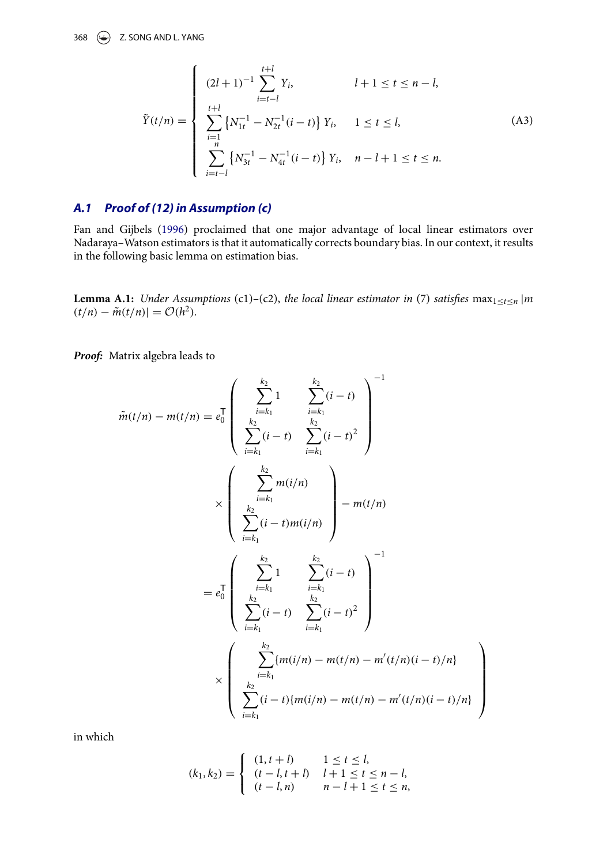#### 368  $\left(\rightarrow\right)$  Z. SONG AND L. YANG

$$
\tilde{Y}(t/n) = \begin{cases}\n(2l+1)^{-1} \sum_{i=t-l}^{t+l} Y_i, & l+1 \le t \le n-l, \\
\sum_{i=1}^{t+l} \left\{ N_{1t}^{-1} - N_{2t}^{-1} (i-t) \right\} Y_i, & 1 \le t \le l, \\
\sum_{i=t-l}^{n} \left\{ N_{3t}^{-1} - N_{4t}^{-1} (i-t) \right\} Y_i, & n-l+1 \le t \le n.\n\end{cases} \tag{A3}
$$

# *A.1 Proof of (12) in Assumption (c)*

Fan and Gijbels [\(1996\)](#page-10-4) proclaimed that one major advantage of local linear estimators over Nadaraya–Watson estimators is that it automatically corrects boundary bias. In our context, it results in the following basic lemma on estimation bias.

**Lemma A.1:** *Under Assumptions* (c1)–(c2), *the local linear estimator in* (7) *satisfies* max<sub>1≤*t*≤*n*</sub> |*m*  $(t/n) - \tilde{m}(t/n) = \mathcal{O}(h^2)$ .

*Proof:* Matrix algebra leads to

$$
\tilde{m}(t/n) - m(t/n) = e_0^{\top} \left( \sum_{\substack{k_2 \\ k_2}}^{\sum_{i=k_1}^{k_2} 1} \sum_{\substack{i=k_1 \\ k_2}}^{\sum_{i=k_1}^{k_2} (i-t)} \sum_{\substack{i=k_2 \\ i=k_1}}^{\sum_{i=k_1}^{k_2} (i-t)} \sum_{\substack{i=k_1 \\ k_2}}^{\sum_{i=k_1}^{k_2} m(i/n)} \right) - m(t/n)
$$

$$
= e_0^{\top} \left( \sum_{\substack{k_2 \\ k_2 \\ k_2}}^{\sum_{i=k_1}^{k_2} 1} \sum_{\substack{i=k_1 \\ k_2 \\ k_2}}^{\sum_{i=k_1}^{k_2} 1} \sum_{\substack{i=k_1 \\ k_2 \\ i=k_1}}^{\sum_{i=k_1}^{k_2} (i-t)} \sum_{\substack{j=k_1 \\ j=k_1}}^{\sum_{i=k_1}^{k_2} (i-t)} \right)^{-1}
$$

$$
\times \left( \sum_{\substack{i=k_1 \\ i=k_1}}^{\sum_{i=k_1}^{k_2} 1} m(i/n) - m(t/n) - m'(t/n)(i-t)/n \right)
$$

in which

$$
(k_1, k_2) = \begin{cases} (1, t + l) & 1 \le t \le l, \\ (t - l, t + l) & l + 1 \le t \le n - l, \\ (t - l, n) & n - l + 1 \le t \le n, \end{cases}
$$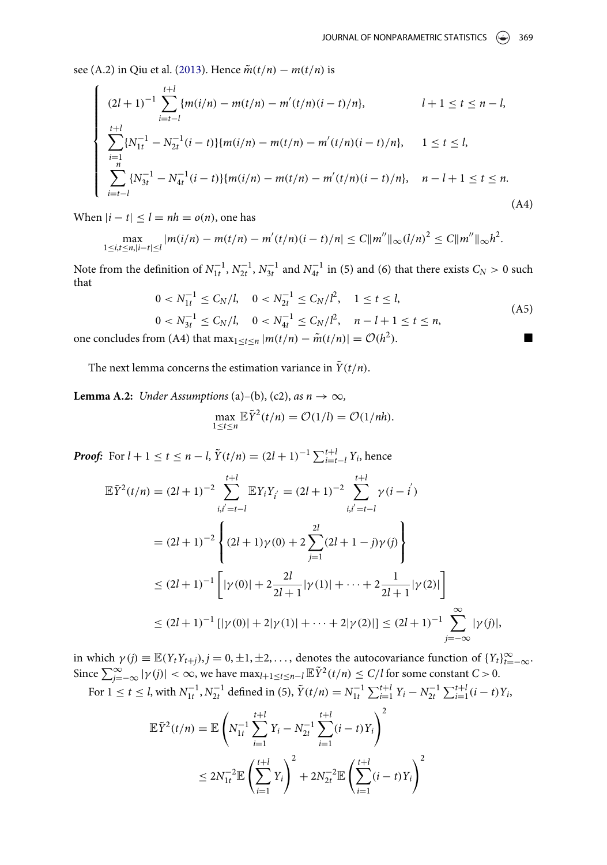see (A.2) in Qiu et al. [\(2013\)](#page-10-3). Hence  $\tilde{m}(t/n) - m(t/n)$  is

$$
\begin{cases}\n(2l+1)^{-1} \sum_{i=t-l}^{t+l} \{m(i/n) - m(t/n) - m'(t/n)(i-t)/n\}, & l+1 \le t \le n-l, \\
\sum_{i=l}^{t+l} \{N_{1t}^{-1} - N_{2t}^{-1}(i-t)\} \{m(i/n) - m(t/n) - m'(t/n)(i-t)/n\}, & 1 \le t \le l, \\
\sum_{i=t-l}^{n} \{N_{3t}^{-1} - N_{4t}^{-1}(i-t)\} \{m(i/n) - m(t/n) - m'(t/n)(i-t)/n\}, & n-l+1 \le t \le n.\n\end{cases}
$$
\n(A4)

When  $|i - t| \leq l = nh = o(n)$ , one has

$$
\max_{1 \leq i,t \leq n,|i-t| \leq l} |m(i/n) - m(t/n) - m'(t/n)(i-t)/n| \leq C \|m''\|_{\infty} (l/n)^2 \leq C \|m''\|_{\infty} h^2.
$$

Note from the definition of  $N_{1t}^{-1}$ ,  $N_{2t}^{-1}$ ,  $N_{3t}^{-1}$  and  $N_{4t}^{-1}$  in (5) and (6) that there exists  $C_N > 0$  such that

$$
0 < N_{1t}^{-1} \le C_N/l, \quad 0 < N_{2t}^{-1} \le C_N/l^2, \quad 1 \le t \le l,
$$
\n
$$
0 < N_{3t}^{-1} \le C_N/l, \quad 0 < N_{4t}^{-1} \le C_N/l^2, \quad n - l + 1 \le t \le n,
$$
\n(A5)

\nFrom (A) that now,  $\lim_{t \to t} (t/n) = \mathcal{O}(t^2)$ 

one concludes from (A4) that  $\max_{1 \le t \le n} |m(t/n) - \tilde{m}(t/n)| = O(h^2)$ .

The next lemma concerns the estimation variance in  $\tilde{Y}(t/n)$ .

**Lemma A.2:** *Under Assumptions* (a)–(b), (c2), *as*  $n \rightarrow \infty$ ,

$$
\max_{1 \leq t \leq n} \mathbb{E} \tilde{Y}^2(t/n) = \mathcal{O}(1/l) = \mathcal{O}(1/nh).
$$

*Proof:* For  $l + 1 \le t \le n - l$ ,  $\tilde{Y}(t/n) = (2l + 1)^{-1} \sum_{i=t-l}^{t+l} Y_i$ , hence

$$
\mathbb{E}\tilde{Y}^{2}(t/n) = (2l+1)^{-2} \sum_{i,i'=t-l}^{t+l} \mathbb{E}Y_{i}Y_{i'} = (2l+1)^{-2} \sum_{i,i'=t-l}^{t+l} \gamma(i-i)
$$
  

$$
= (2l+1)^{-2} \left\{ (2l+1)\gamma(0) + 2 \sum_{j=1}^{2l} (2l+1-j)\gamma(j) \right\}
$$
  

$$
\leq (2l+1)^{-1} \left[ |\gamma(0)| + 2 \frac{2l}{2l+1} |\gamma(1)| + \dots + 2 \frac{1}{2l+1} |\gamma(2)| \right]
$$
  

$$
\leq (2l+1)^{-1} \left[ |\gamma(0)| + 2|\gamma(1)| + \dots + 2|\gamma(2)| \right] \leq (2l+1)^{-1} \sum_{j=-\infty}^{\infty} |\gamma(j)|,
$$

in which  $\gamma(j) \equiv \mathbb{E}(Y_tY_{t+j}), j = 0, \pm 1, \pm 2, \ldots$ , denotes the autocovariance function of  $\{Y_t\}_{t=-\infty}^{\infty}$ . Since  $\sum_{j=-\infty}^{\infty} |\gamma(j)| < \infty$ , we have  $\max_{l+1 \leq t \leq n-l} \mathbb{E} \tilde{Y}^2(t/n) \leq C/l$  for some constant  $C > 0$ . For  $1 \le t \le l$ , with  $N_{1t}^{-1}$ ,  $N_{2t}^{-1}$  defined in (5),  $\tilde{Y}(t/n) = N_{1t}^{-1} \sum_{i=1}^{t+l} Y_i - N_{2t}^{-1} \sum_{i=1}^{t+l} (i-t) Y_i$ 

$$
\mathbb{E}\tilde{Y}^{2}(t/n) = \mathbb{E}\left(N_{1t}^{-1}\sum_{i=1}^{t+l}Y_{i} - N_{2t}^{-1}\sum_{i=1}^{t+l}(i-t)Y_{i}\right)^{2}
$$

$$
\leq 2N_{1t}^{-2}\mathbb{E}\left(\sum_{i=1}^{t+l}Y_{i}\right)^{2} + 2N_{2t}^{-2}\mathbb{E}\left(\sum_{i=1}^{t+l}(i-t)Y_{i}\right)^{2}
$$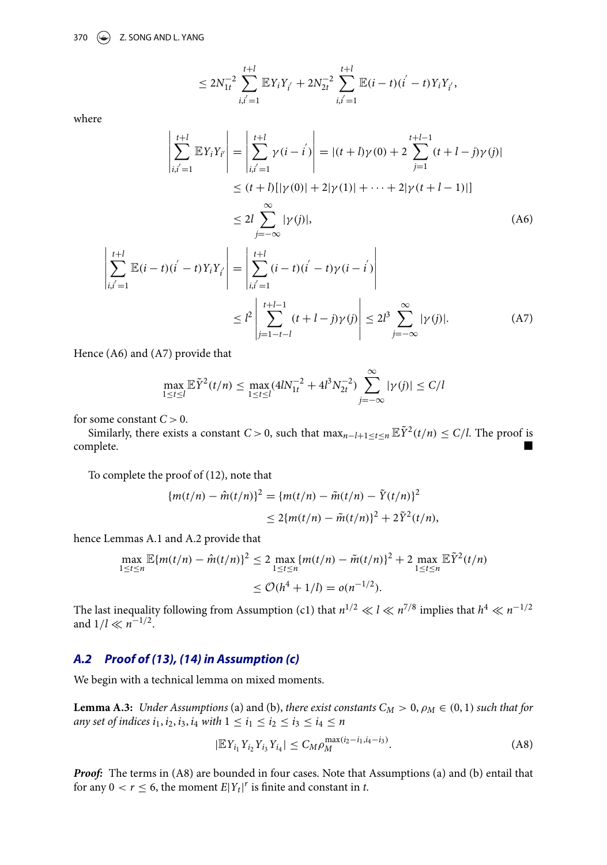$$
\leq 2N_{1t}^{-2} \sum_{i,i'=1}^{t+l} \mathbb{E}Y_iY_{i'} + 2N_{2t}^{-2} \sum_{i,i'=1}^{t+l} \mathbb{E}(i-t)(i'-t)Y_iY_{i'},
$$

where

  $\overline{a}$ 

*i*,*i* J =1

 $\sum$ *t*+*l*

$$
\left| \sum_{i,i'=1}^{t+l} \mathbb{E} Y_i Y_i \right| = \left| \sum_{i,i'=1}^{t+l} \gamma(i-i') \right| = |(t+l)\gamma(0) + 2 \sum_{j=1}^{t+l-1} (t+l-j)\gamma(j)|
$$
  
\n
$$
\le (t+l) [|\gamma(0)| + 2|\gamma(1)| + \dots + 2|\gamma(t+l-1)|]
$$
  
\n
$$
\le 2l \sum_{j=-\infty}^{\infty} |\gamma(j)|,
$$
  
\n
$$
\mathbb{E}(i-t)(i'-t)Y_i Y_i \right| = \left| \sum_{i,i'=1}^{t+l} (i-t)(i'-t)\gamma(i-i') \right|
$$
 (A6)

$$
\begin{aligned}\n| \quad |_{i,i'=1} & \quad | \\
&\leq l^2 \left| \sum_{j=1-t-l}^{t+l-1} (t+l-j) \gamma(j) \right| \leq 2l^3 \sum_{j=-\infty}^{\infty} |\gamma(j)|.\n\end{aligned} \tag{A7}
$$

 $\overline{\phantom{a}}$ 

Hence (A6) and (A7) provide that

$$
\max_{1 \le t \le l} \mathbb{E} \tilde{Y}^2(t/n) \le \max_{1 \le t \le l} (4lN_{1t}^{-2} + 4l^3 N_{2t}^{-2}) \sum_{j=-\infty}^{\infty} |\gamma(j)| \le C/l
$$

for some constant  $C > 0$ .

Similarly, there exists a constant *C* > 0, such that  $\max_{n-l+1 \le t \le n} \mathbb{E} \tilde{Y}^2(t/n) \le C/l$ . The proof is complete. ■ complete.

To complete the proof of (12), note that

$$
\{m(t/n) - \hat{m}(t/n)\}^2 = \{m(t/n) - \tilde{m}(t/n) - \tilde{Y}(t/n)\}^2
$$
  
 
$$
\leq 2\{m(t/n) - \tilde{m}(t/n)\}^2 + 2\tilde{Y}^2(t/n),
$$

hence Lemmas A.1 and A.2 provide that

$$
\max_{1 \le t \le n} \mathbb{E}\{m(t/n) - \hat{m}(t/n)\}^2 \le 2 \max_{1 \le t \le n} \{m(t/n) - \tilde{m}(t/n)\}^2 + 2 \max_{1 \le t \le n} \mathbb{E}\tilde{Y}^2(t/n)
$$
  
 
$$
\le O(h^4 + 1/l) = o(n^{-1/2}).
$$

The last inequality following from Assumption (c1) that  $n^{1/2} \ll l \ll n^{7/8}$  implies that  $h^4 \ll n^{-1/2}$ and  $1/l \ll n^{-1/2}$ .

# *A.2 Proof of (13), (14) in Assumption (c)*

We begin with a technical lemma on mixed moments.

**Lemma A.3:** *Under Assumptions* (a) and (b), *there exist constants*  $C_M > 0$ ,  $\rho_M \in (0, 1)$  *such that for any set of indices*  $i_1, i_2, i_3, i_4$  *with*  $1 \le i_1 \le i_2 \le i_3 \le i_4 \le n$ 

$$
|\mathbb{E}Y_{i_1}Y_{i_2}Y_{i_3}Y_{i_4}| \leq C_M \rho_M^{\max(i_2 - i_1, i_4 - i_3)}.
$$
 (A8)

*Proof:* The terms in (A8) are bounded in four cases. Note that Assumptions (a) and (b) entail that for any  $0 < r \leq 6$ , the moment  $E|Y_t|^r$  is finite and constant in *t*.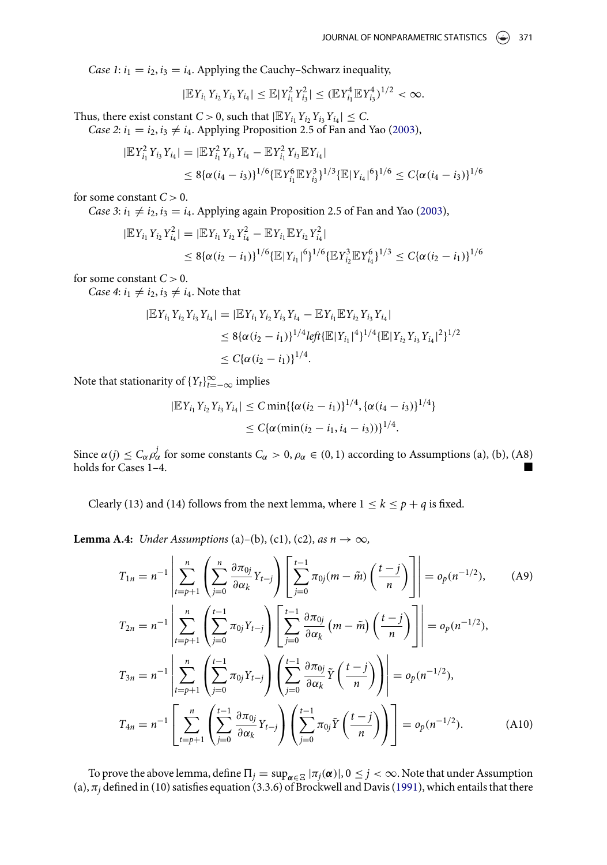*Case 1*:  $i_1 = i_2$ ,  $i_3 = i_4$ . Applying the Cauchy–Schwarz inequality,

<span id="page-14-0"></span>
$$
|\mathbb{E}Y_{i_1}Y_{i_2}Y_{i_3}Y_{i_4}|\leq \mathbb{E}|Y_{i_1}^2Y_{i_3}^2|\leq (\mathbb{E}Y_{i_1}^4\mathbb{E}Y_{i_3}^4)^{1/2}<\infty.
$$

Thus, there exist constant *C* > 0, such that  $|\mathbb{E}Y_{i_1}Y_{i_2}Y_{i_3}Y_{i_4}| \leq C$ .

*Case 2*:  $i_1 = i_2$ ,  $i_3 \neq i_4$ . Applying Proposition 2.5 of Fan and Yao [\(2003\)](#page-10-7),

$$
|\mathbb{E}Y_{i_1}^2Y_{i_3}Y_{i_4}| = |\mathbb{E}Y_{i_1}^2Y_{i_3}Y_{i_4} - \mathbb{E}Y_{i_1}^2Y_{i_3}\mathbb{E}Y_{i_4}|
$$
  
\n
$$
\leq 8\{\alpha(i_4 - i_3)\}^{1/6}\{\mathbb{E}Y_{i_1}^6\mathbb{E}Y_{i_3}^3\}^{1/3}\{\mathbb{E}|Y_{i_4}|^6\}^{1/6} \leq C\{\alpha(i_4 - i_3)\}^{1/6}
$$

for some constant  $C > 0$ .

*Case 3*:  $i_1 \neq i_2$ ,  $i_3 = i_4$ . Applying again Proposition 2.5 of Fan and Yao [\(2003\)](#page-10-7),

$$
|\mathbb{E}Y_{i_1}Y_{i_2}Y_{i_4}^2| = |\mathbb{E}Y_{i_1}Y_{i_2}Y_{i_4}^2 - \mathbb{E}Y_{i_1}\mathbb{E}Y_{i_2}Y_{i_4}^2|
$$
  
\n
$$
\leq 8\{\alpha(i_2 - i_1)\}^{1/6}\{\mathbb{E}|Y_{i_1}|^6\}^{1/6}\{\mathbb{E}Y_{i_2}^3\mathbb{E}Y_{i_4}^6\}^{1/3} \leq C\{\alpha(i_2 - i_1)\}^{1/6}
$$

for some constant  $C > 0$ .

*Case 4*:  $i_1 \neq i_2, i_3 \neq i_4$ . Note that

$$
|\mathbb{E}Y_{i_1}Y_{i_2}Y_{i_3}Y_{i_4}| = |\mathbb{E}Y_{i_1}Y_{i_2}Y_{i_3}Y_{i_4} - \mathbb{E}Y_{i_1}\mathbb{E}Y_{i_2}Y_{i_3}Y_{i_4}|
$$
  
\n
$$
\leq 8\{\alpha(i_2 - i_1)\}^{1/4} \text{left}\{\mathbb{E}|Y_{i_1}|^4\}^{1/4} \{\mathbb{E}|Y_{i_2}Y_{i_3}Y_{i_4}|^2\}^{1/2}
$$
  
\n
$$
\leq C\{\alpha(i_2 - i_1)\}^{1/4}.
$$

Note that stationarity of  ${Y_t}_{t=-\infty}^{\infty}$  implies

$$
|\mathbb{E}Y_{i_1}Y_{i_2}Y_{i_3}Y_{i_4}| \leq C \min\{ \{\alpha(i_2 - i_1)\}^{1/4}, \{\alpha(i_4 - i_3)\}^{1/4} \}
$$
  

$$
\leq C\{\alpha(\min(i_2 - i_1, i_4 - i_3))\}^{1/4}.
$$

Since  $\alpha(j) \leq C_{\alpha} \rho_{\alpha}^j$  for some constants  $C_{\alpha} > 0$ ,  $\rho_{\alpha} \in (0,1)$  according to Assumptions (a), (b), (A8) holds for Cases 1-4.

Clearly (13) and (14) follows from the next lemma, where  $1 \le k \le p + q$  is fixed.

**Lemma A.4:** *Under Assumptions* (a)–(b), (c1), (c2), *as*  $n \rightarrow \infty$ ,

$$
T_{1n} = n^{-1} \left| \sum_{t=p+1}^{n} \left( \sum_{j=0}^{n} \frac{\partial \pi_{0j}}{\partial \alpha_{k}} Y_{t-j} \right) \left[ \sum_{j=0}^{t-1} \pi_{0j}(m - \tilde{m}) \left( \frac{t-j}{n} \right) \right] \right| = o_{p}(n^{-1/2}), \quad (A9)
$$
  
\n
$$
T_{2n} = n^{-1} \left| \sum_{t=p+1}^{n} \left( \sum_{j=0}^{t-1} \pi_{0j} Y_{t-j} \right) \left[ \sum_{j=0}^{t-1} \frac{\partial \pi_{0j}}{\partial \alpha_{k}} (m - \tilde{m}) \left( \frac{t-j}{n} \right) \right] \right| = o_{p}(n^{-1/2}),
$$
  
\n
$$
T_{3n} = n^{-1} \left| \sum_{t=p+1}^{n} \left( \sum_{j=0}^{t-1} \pi_{0j} Y_{t-j} \right) \left( \sum_{j=0}^{t-1} \frac{\partial \pi_{0j}}{\partial \alpha_{k}} \tilde{Y} \left( \frac{t-j}{n} \right) \right) \right| = o_{p}(n^{-1/2}),
$$
  
\n
$$
T_{4n} = n^{-1} \left[ \sum_{t=p+1}^{n} \left( \sum_{j=0}^{t-1} \frac{\partial \pi_{0j}}{\partial \alpha_{k}} Y_{t-j} \right) \left( \sum_{j=0}^{t-1} \pi_{0j} \tilde{Y} \left( \frac{t-j}{n} \right) \right) \right] = o_{p}(n^{-1/2}). \quad (A10)
$$

To prove the above lemma, define  $\Pi_j = \sup_{\pmb{\alpha} \in \Xi} |\pi_j(\pmb{\alpha})|, 0 \leq j < \infty$ . Note that under Assumption (a),  $\pi_j$  defined in (10) satisfies equation (3.3.6) of Brockwell and Davis [\(1991\)](#page-10-0), which entails that there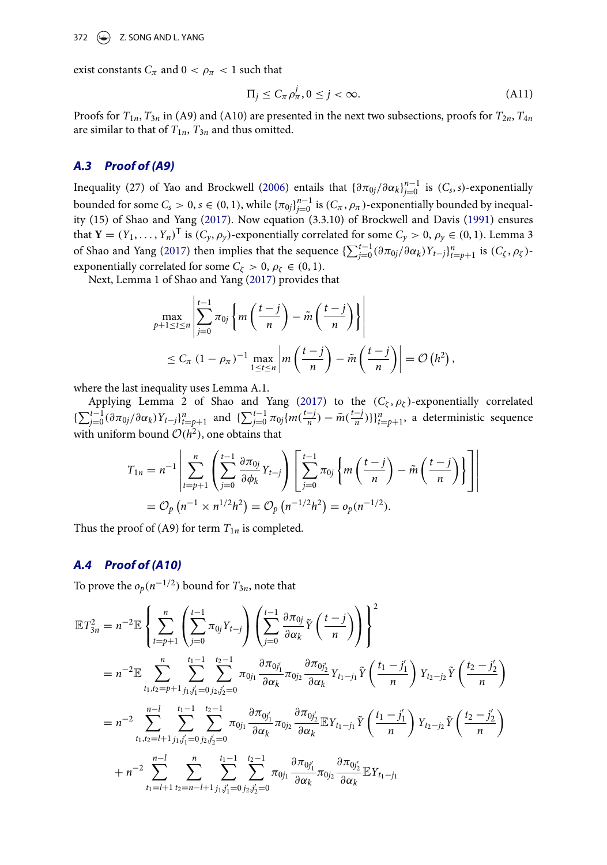exist constants  $C_{\pi}$  and  $0 < \rho_{\pi} < 1$  such that

<span id="page-15-0"></span>
$$
\Pi_j \le C_\pi \rho_\pi^j, 0 \le j < \infty. \tag{A11}
$$

Proofs for  $T_{1n}$ ,  $T_{3n}$  in (A9) and (A10) are presented in the next two subsections, proofs for  $T_{2n}$ ,  $T_{4n}$ are similar to that of  $T_{1n}$ ,  $T_{3n}$  and thus omitted.

#### *A.3 Proof of (A9)*

Inequality (27) of Yao and Brockwell [\(2006\)](#page-10-8) entails that  $\{\partial \pi_{0j}/\partial \alpha_k\}_{j=0}^{n-1}$  is  $(C_s, s)$ -exponentially bounded for some  $C_s > 0$ ,  $s \in (0,1)$ , while  $\{\pi_{0j}\}_{j=0}^{n-1}$  is  $(C_\pi, \rho_\pi)$ -exponentially bounded by inequality (15) of Shao and Yang [\(2017\)](#page-10-2). Now equation (3.3.10) of Brockwell and Davis [\(1991\)](#page-10-0) ensures that **Y** =  $(Y_1, \ldots, Y_n)$ <sup>T</sup> is  $(C_y, \rho_y)$ -exponentially correlated for some  $C_y > 0$ ,  $\rho_y \in (0, 1)$ . Lemma 3 of Shao and Yang [\(2017\)](#page-10-2) then implies that the sequence  $\{\sum_{j=0}^{t-1} (\partial \pi_{0j}/\partial \alpha_k) Y_{t-j}\}_{t=p+1}^n$  is  $(C_{\zeta}, \rho_{\zeta})$ exponentially correlated for some  $C_{\zeta} > 0$ ,  $\rho_{\zeta} \in (0, 1)$ .

Next, Lemma 1 of Shao and Yang [\(2017\)](#page-10-2) provides that

$$
\max_{p+1 \leq t \leq n} \left| \sum_{j=0}^{t-1} \pi_{0j} \left\{ m \left( \frac{t-j}{n} \right) - \tilde{m} \left( \frac{t-j}{n} \right) \right\} \right|
$$
  
 
$$
\leq C_{\pi} \left( 1 - \rho_{\pi} \right)^{-1} \max_{1 \leq t \leq n} \left| m \left( \frac{t-j}{n} \right) - \tilde{m} \left( \frac{t-j}{n} \right) \right| = \mathcal{O} \left( h^2 \right),
$$

where the last inequality uses Lemma A.1.

Applying Lemma 2 of Shao and Yang [\(2017\)](#page-10-2) to the  $(C_{\zeta}, \rho_{\zeta})$ -exponentially correlated  $\{\sum_{j=0}^{t-1}(\partial \pi_{0j}/\partial \alpha_k)Y_{t-j}\}_{t=p+1}^n$  and  $\{\sum_{j=0}^{t-1} \pi_{0j}\{m(\frac{t-j}{n}) - \tilde{m}(\frac{t-j}{n})\}\}_{t=p+1}^n$ , a deterministic sequence with uniform bound  $O(h^2)$ , one obtains that

$$
T_{1n} = n^{-1} \left| \sum_{t=p+1}^{n} \left( \sum_{j=0}^{t-1} \frac{\partial \pi_{0j}}{\partial \phi_k} Y_{t-j} \right) \left[ \sum_{j=0}^{t-1} \pi_{0j} \left\{ m \left( \frac{t-j}{n} \right) - \tilde{m} \left( \frac{t-j}{n} \right) \right\} \right] \right|
$$
  
=  $\mathcal{O}_p(n^{-1} \times n^{1/2} h^2) = \mathcal{O}_p(n^{-1/2} h^2) = o_p(n^{-1/2}).$ 

Thus the proof of (A9) for term  $T_{1n}$  is completed.

#### *A.4 Proof of (A10)*

To prove the  $o_p(n^{-1/2})$  bound for  $T_{3n}$ , note that

$$
\mathbb{E}T_{3n}^{2} = n^{-2} \mathbb{E} \left\{ \sum_{t=p+1}^{n} \left( \sum_{j=0}^{t-1} \pi_{0j} Y_{t-j} \right) \left( \sum_{j=0}^{t-1} \frac{\partial \pi_{0j}}{\partial \alpha_{k}} \tilde{Y} \left( \frac{t-j}{n} \right) \right) \right\}^{2}
$$
\n
$$
= n^{-2} \mathbb{E} \sum_{t_{1}, t_{2}=p+1}^{n} \sum_{j_{1}, j_{1}^{\prime}=0}^{t_{1}-1} \sum_{j_{2}, j_{2}^{\prime}=0}^{t_{2}-1} \pi_{0j_{1}} \frac{\partial \pi_{0j_{1}^{\prime}}}{\partial \alpha_{k}} \pi_{0j_{2}} \frac{\partial \pi_{0j_{2}^{\prime}}}{\partial \alpha_{k}} Y_{t_{1}-j_{1}} \tilde{Y} \left( \frac{t_{1}-j_{1}^{\prime}}{n} \right) Y_{t_{2}-j_{2}} \tilde{Y} \left( \frac{t_{2}-j_{2}^{\prime}}{n} \right)
$$
\n
$$
= n^{-2} \sum_{t_{1}, t_{2}=l+1}^{n-1} \sum_{j_{1}, j_{1}^{\prime}=0}^{t_{1}-1} \sum_{j_{2}, j_{2}^{\prime}=0}^{t_{2}-1} \pi_{0j_{1}} \frac{\partial \pi_{0j_{1}^{\prime}}}{\partial \alpha_{k}} \pi_{0j_{2}} \frac{\partial \pi_{0j_{2}^{\prime}}}{\partial \alpha_{k}} \mathbb{E} Y_{t_{1}-j_{1}} \tilde{Y} \left( \frac{t_{1}-j_{1}^{\prime}}{n} \right) Y_{t_{2}-j_{2}} \tilde{Y} \left( \frac{t_{2}-j_{2}^{\prime}}{n} \right)
$$
\n
$$
+ n^{-2} \sum_{t_{1}=l+1}^{n-1} \sum_{t_{2}=n-l+1}^{n} \sum_{j_{1}, j_{1}^{\prime}=0}^{t_{1}-1} \sum_{j_{2}, j_{2}^{\prime}=0}^{t_{2}-1} \pi_{0j_{1}} \frac{\partial \pi_{0j_{1}^{\prime}}}{\partial \alpha_{k}} \pi_{0j_{2}} \frac{\partial \pi_{0j_{2}^{\prime}}}{\partial \alpha_{k}} \mathbb{E} Y_{t_{
$$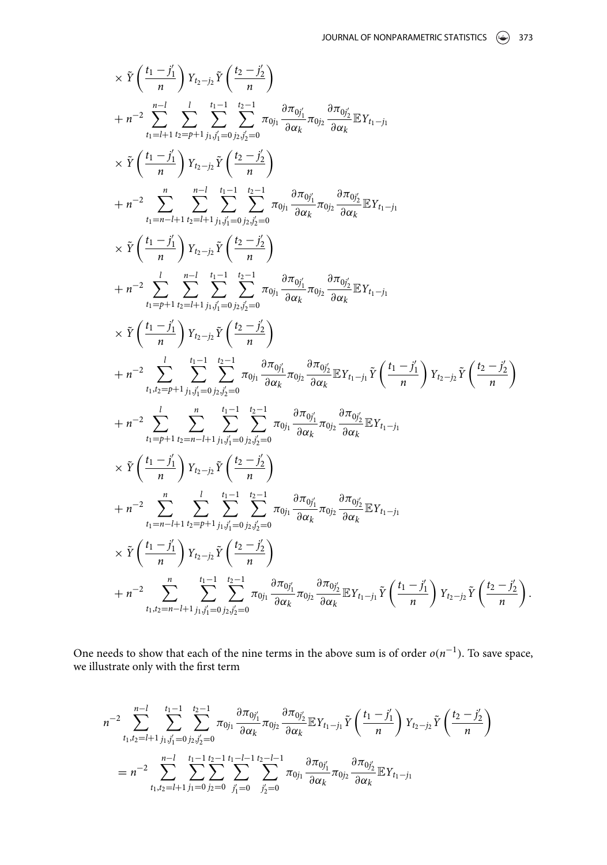.

$$
\begin{split}\n&\times\tilde{Y}\left(\frac{t_{1}-j_{1}^{\prime}}{n}\right)Y_{t_{2}-j_{2}}\tilde{Y}\left(\frac{t_{2}-j_{2}^{\prime}}{n}\right) \\
&+n^{-2}\sum_{t_{1}=l+1}^{n-1}\sum_{t_{2}=p+1}^{t_{1}-1}\sum_{j_{1},j_{1}=0}^{t_{2}-1}\sum_{j_{2},j_{2}=0}^{n}\pi_{0j_{1}}\frac{\partial\pi_{0j_{1}^{\prime}}}{\partial\alpha_{k}}\pi_{0j_{2}}\frac{\partial\pi_{0j_{2}^{\prime}}}{\partial\alpha_{k}}\mathbb{E}Y_{t_{1}-j_{1}} \\
&\times\tilde{Y}\left(\frac{t_{1}-j_{1}^{\prime}}{n}\right)Y_{t_{2}-j_{2}}\tilde{Y}\left(\frac{t_{2}-j_{2}^{\prime}}{n}\right) \\
&+n^{-2}\sum_{t_{1}=n-l+1}^{n}\sum_{t_{2}=l+1}^{n-1}\sum_{j_{1},j_{1}=0}^{t_{1}-1}\sum_{j_{2},j_{2}=0}^{t_{2}-1}\pi_{0j_{1}}\frac{\partial\pi_{0j_{1}^{\prime}}}{\partial\alpha_{k}}\pi_{0j_{2}}\frac{\partial\pi_{0j_{2}^{\prime}}}{\partial\alpha_{k}}\mathbb{E}Y_{t_{1}-j_{1}} \\
&\times\tilde{Y}\left(\frac{t_{1}-j_{1}^{\prime}}{n}\right)Y_{t_{2}-j_{2}}\tilde{Y}\left(\frac{t_{2}-j_{2}^{\prime}}{n}\right) \\
&+n^{-2}\sum_{t_{1}=p+1}^{l}\sum_{t_{2}=l+1}^{n-1}\sum_{j_{1},j_{1}=0}^{t_{2}-1}\sum_{j_{2},j_{2}=0}^{n}\pi_{0j_{1}}\frac{\partial\pi_{0j_{1}^{\prime}}}{\partial\alpha_{k}}\pi_{0j_{2}}\frac{\partial\pi_{0j_{2}^{\prime}}}{\partial\alpha_{k}}\mathbb{E}Y_{t_{1}-j_{1}} \\
&\times\tilde{Y}\left(\frac{t_{1}-j_{1}^{\prime}}{n}\right)Y_{t_{2}-j_{2}}\tilde{Y}\left(\frac{t_{2}-j_{2}^{\prime}}{n}\right) \\
&+n^{-2}\sum_{t_{1},t_{2}=p+1}^{l}\sum_{
$$

One needs to show that each of the nine terms in the above sum is of order *o*(*n*−1). To save space, we illustrate only with the first term

$$
n^{-2} \sum_{t_1,t_2=l+1}^{n-1} \sum_{j_1,j_1'=0}^{t_1-1} \sum_{j_2,j_2'=0}^{t_2-1} \pi_{0j_1} \frac{\partial \pi_{0j_1'}}{\partial \alpha_k} \pi_{0j_2} \frac{\partial \pi_{0j_2'}}{\partial \alpha_k} \mathbb{E} Y_{t_1-j_1} \tilde{Y} \left(\frac{t_1-j_1'}{n}\right) Y_{t_2-j_2} \tilde{Y} \left(\frac{t_2-j_2'}{n}\right)
$$
  
=  $n^{-2} \sum_{t_1,t_2=l+1}^{n-1} \sum_{j_1=0}^{t_1-1} \sum_{j_2=0}^{t_2-1} \sum_{j_1'=0}^{t_1-l-1} \sum_{j_2'=0}^{t_2-l-1} \pi_{0j_1} \frac{\partial \pi_{0j_1'}}{\partial \alpha_k} \pi_{0j_2} \frac{\partial \pi_{0j_2'}}{\partial \alpha_k} \mathbb{E} Y_{t_1-j_1}$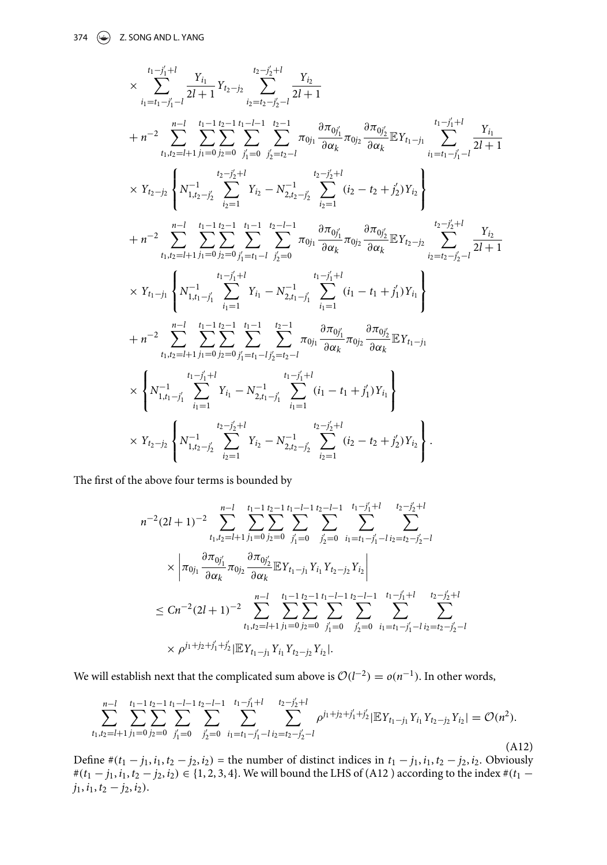$$
\times \sum_{i_1=f_1-j_1'+1}^{t_1-t_1'-1} \frac{Y_{i_1}}{2l+1} Y_{t_2-j_2} \sum_{i_2=f_2-j_2'-1}^{t_2-t_1'-1} \frac{Y_{i_2}}{2l+1} \n+ n^{-2} \sum_{i_1,i_2=l+1}^{n-1} \sum_{j_1=0}^{t_1-1} \sum_{j_2=0}^{t_2-1} \sum_{j_1'=j_2'-1}^{t_2-1} \pi_{0j_1} \frac{\partial \pi_{0j_1'}}{\partial \alpha_k} \pi_{0j_2} \frac{\partial \pi_{0j_2'}}{\partial \alpha_k} \mathbb{E} Y_{t_1-j_1} \sum_{i_1=t_1-j_1'-1}^{t_1-t_1'+1} \frac{Y_{i_1}}{2l+1} \n\times Y_{t_2-j_2} \left\{ N_{1,t_2-j_2}^{-1} \sum_{i_2=1}^{t_2-j_2'+1} Y_{i_2} - N_{2,t_2-j_2'}^{-1} \sum_{i_2=1}^{t_2-j_2'+1} (i_2-t_2+j_2') Y_{i_2} \right\} \n+ n^{-2} \sum_{t_1,t_2=l+1}^{n-1} \sum_{j_1=0}^{t_1-1} \sum_{j_2=0}^{t_1-t_1-1} \sum_{j_2=0}^{t_2-l-1} \pi_{0j_1} \frac{\partial \pi_{0j_1'}}{\partial \alpha_k} \pi_{0j_2} \frac{\partial \pi_{0j_2'}}{\partial \alpha_k} \mathbb{E} Y_{t_2-j_2} \sum_{i_2=t_2-j_2'-1}^{t_2-t_1'+1} \frac{Y_{i_2}}{2l+1} \n\times Y_{t_1-j_1} \left\{ N_{1,t_1-j_1'}^{-1} \sum_{i_1=1}^{t_1-j_1'+1} Y_{i_1} - N_{2,t_1-j_1'}^{-1} \sum_{i_1=1}^{t_1-j_1'+1} (i_1-t_1+j_1') Y_{i_1} \right\} \n+ n^{-2} \sum_{t_1,t_2=l+1}^{n-1} \sum_{j_1=0}^{t_1-1} \sum_{j_2=0}^{t_1-t_1-j_2'-1} \pi_{0j_1} \
$$

The first of the above four terms is bounded by

$$
n^{-2}(2l+1)^{-2} \sum_{t_1,t_2=l+1}^{n-l} \sum_{j_1=0}^{t_1-1} \sum_{j_2=0}^{t_2-1} \sum_{j'_1=0}^{t_1-l-1} \sum_{j'_2=0}^{t_2-l-1} \sum_{i_1=t_1-j'_1-l}^{t_1-j'_1+l} \sum_{t_2=j'_2+l}^{t_2-j'_2+l}
$$
  
\n
$$
\times \left| \pi_{0j_1} \frac{\partial \pi_{0j'_1}}{\partial \alpha_k} \pi_{0j_2} \frac{\partial \pi_{0j'_2}}{\partial \alpha_k} \mathbb{E} Y_{t_1-j_1} Y_{t_1} Y_{t_2-j_2} Y_{t_2} \right|
$$
  
\n
$$
\le Cn^{-2}(2l+1)^{-2} \sum_{t_1,t_2=l+1}^{n-l} \sum_{j_1=0}^{t_1-1} \sum_{j_2=0}^{t_2-1} \sum_{j'_1=0}^{t_1-l-1} \sum_{j'_2=0}^{t_2-l-1} \sum_{i_1=t_1-j'_1-l}^{t_1-j'_1+l} \sum_{t_2=j'_2-l}^{t_2-j'_2+l}
$$
  
\n
$$
\times \rho^{j_1+j_2+j'_1+j'_2} \left| \mathbb{E} Y_{t_1-j_1} Y_{t_1} Y_{t_2-j_2} Y_{t_2} \right|.
$$

We will establish next that the complicated sum above is  $O(l^{-2}) = o(n^{-1})$ . In other words,

$$
\sum_{t_1,t_2=l+1}^{n-1} \sum_{j_1=0}^{t_1-1} \sum_{j_2=0}^{t_2-1} \sum_{j'_1=0}^{t_1-l-1} \sum_{j'_2=0}^{t_2-l-1} \sum_{i_1=t_1-j'_1-l}^{t_1-j'_1+l} \sum_{i_2=j'_2-l}^{t_2-j'_2+l} \rho^{j_1+j_2+j'_1+j'_2} |\mathbb{E}Y_{t_1-j_1}Y_{i_1}Y_{t_2-j_2}Y_{i_2}| = \mathcal{O}(n^2). \tag{A12}
$$

Define  $#(t_1 - j_1, i_1, t_2 - j_2, i_2)$  = the number of distinct indices in  $t_1 - j_1, i_1, t_2 - j_2, i_2$ . Obviously # $(t_1 - j_1, i_1, t_2 - j_2, i_2) \in \{1, 2, 3, 4\}$ . We will bound the LHS of (A12) according to the index #( $t_1$  −  $j_1$ ,  $i_1$ ,  $t_2 - j_2$ ,  $i_2$ ).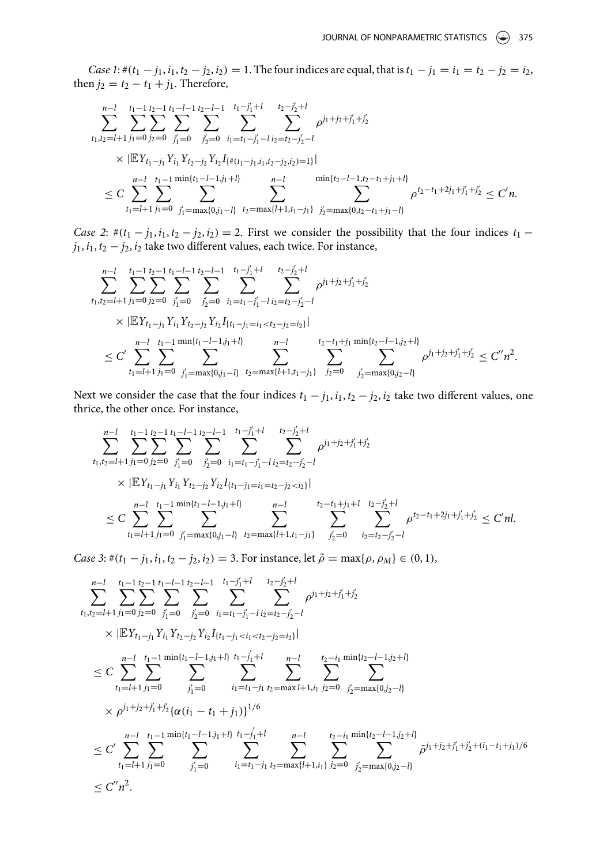*Case 1*:  $\#(t_1 - j_1, i_1, t_2 - j_2, i_2) = 1$ . The four indices are equal, that is  $t_1 - j_1 = i_1 = t_2 - j_2 = i_2$ , then  $j_2 = t_2 - t_1 + j_1$ . Therefore,

$$
\sum_{t_1,t_2=l+1}^{n-l} \sum_{j_1=0}^{t_1-1} \sum_{j_2=0}^{t_2-1} \sum_{j'_1=0}^{t_1-l-1} \sum_{j'_2=0}^{t_2-l-1} \sum_{i_1=t_1-j'_1-l}^{t_1-j'_1+l} \sum_{t_2=j'_2-l}^{t_2-j'_2+l} \rho^{j_1+j_2+j'_1+j'_2}
$$
\n
$$
\times |\mathbb{E}Y_{t_1-j_1}Y_{i_1}Y_{t_2-j_2}Y_{i_2}I_{\{\#(t_1-j_1,i_1,t_2-j_2,i_2)=1\}}|
$$
\n
$$
\leq C \sum_{t_1=l+1}^{n-l} \sum_{j_1'= \max\{0,j_1-l\}}^{t_1-1} \sum_{t_2'= \max\{l+1,t_1-j_1\}}^{n-l} \sum_{j'_2= \max\{0,t_2-t_1+j_1-l\}}^{n-l} \rho^{t_2-t_1+2j_1+j'_1+j'_2} \leq C'n.
$$

*Case 2*:  $\#(t_1 - j_1, i_1, t_2 - j_2, i_2) = 2$ . First we consider the possibility that the four indices  $t_1$  −  $j_1$ ,  $i_1$ ,  $t_2 - j_2$ ,  $i_2$  take two different values, each twice. For instance,

$$
\sum_{t_1,t_2=l+1}^{n-l} \sum_{j_1=0}^{t_1-1} \sum_{j_2=0}^{t_2-1} \sum_{j'_1=0}^{t_1-l-1} \sum_{j'_2=0}^{t_2-l-1} \sum_{i_1=t_1-j'_1-l}^{t_1-j'_1+l} \sum_{t_2=j'_2-l}^{t_2-j'_2+l} \rho^{j_1+j_2+j'_1+j'_2} \times |\mathbb{E}Y_{t_1-j_1}Y_{t_1}Y_{t_2-j_2}Y_{t_2}I_{\{t_1-j_1=i_1
$$

Next we consider the case that the four indices  $t_1 - j_1, i_1, t_2 - j_2, i_2$  take two different values, one thrice, the other once. For instance,

$$
\sum_{t_1,t_2=l+1}^{n-l} \sum_{j_1=0}^{t_1-1} \sum_{j_2=0}^{t_2-1} \sum_{j'_1=0}^{t_1-l-1} \sum_{j'_2=0}^{t_2-l-1} \sum_{i_1=t_1-j'_1-l}^{t_1-j'_1+l} \sum_{t_2=j'_2+l}^{t_2-j'_2+l} \rho^{j_1+j_2+j'_1+j'_2}
$$
\n
$$
\times |\mathbb{E}Y_{t_1-j_1}Y_{i_1}Y_{t_2-j_2}Y_{i_2}I_{\{t_1-j_1=i_1=t_2-j_2\n
$$
\leq C \sum_{t_1=l+1}^{n-l} \sum_{j_1=0}^{t_1-1} \sum_{j'_1=\max\{0,j_1-l\}}^{n_1+l} \sum_{t_2=\max\{l+1,t_1-j_1\}}^{n-l} \sum_{j'_2=0}^{t_2-t_1+j_1+l} \sum_{i_2=t_2-j'_2-l}^{t_2-j_2+l} \rho^{t_2-t_1+2j_1+j'_1+j'_2} \leq C' n l.
$$
$$

*Case 3*:  $\#(t_1 - j_1, i_1, t_2 - j_2, i_2) = 3$ . For instance, let  $\tilde{\rho} = \max\{\rho, \rho_M\} \in (0, 1)$ ,

$$
\sum_{t_1,t_2=l+1}^{n-l} \sum_{j_1=0}^{t_1-1} \sum_{j_2=0}^{t_2-1} \sum_{j'_1=0}^{t_1-l-1} \sum_{j'_2=0}^{t_2-l-1} \sum_{i_1=t_1-j'_1+l}^{t_1-j'_1+l} \sum_{t_2=j'_2-l}^{t_2-j'_2+l} \rho^{j_1+j_2+j'_1+j'_2}
$$
\n
$$
\times |\mathbb{E}Y_{t_1-j_1}Y_{i_1}Y_{t_2-j_2}Y_{i_2}I_{\{t_1-j_1 < i_1 < t_2-j_2 = i_2\}}|
$$
\n
$$
\leq C \sum_{t_1=l+1}^{n-l} \sum_{j_1=0}^{t_1-1} \sum_{j'_1=0}^{min\{t_1-l-1, j_1+l\}} \sum_{i_1=t_1-j_1}^{t_1-l} \sum_{t_2=max+l+1, i_1}^{n-l} \sum_{j_2=0}^{t_2-i_1} \sum_{j'_2=max\{0,j_2-l\}}^{min\{t_2-l-1, j_2+l\}} \sum_{j'_2=max\{0,j_2-l\}}^{n-l} \sum_{j'_1=0}^{t_1+j_2+j'_1+j'_2} \{\alpha(i_1-t_1+j_1)\}^{1/6}
$$
\n
$$
\leq C' \sum_{t_1=l+1}^{n-l} \sum_{j_1=0}^{t_1-1} \sum_{j'_1=0}^{min\{t_1-l-1, j_1+l\}} \sum_{i_1=t_1-j_1}^{t_1-j'_1+l} \sum_{t_2=max\{l+1, i_1\}}^{n-l} \sum_{j_2=0}^{t_2-i_1} \sum_{j'_2=max\{0,j_2-l\}}^{min\{t_2-l-1, j_2+l\}} \tilde{\rho}^{j_1+j_2+j'_1+j'_2+(i_1-t_1+j_1)/6}
$$
\n
$$
\leq C'' n^2.
$$